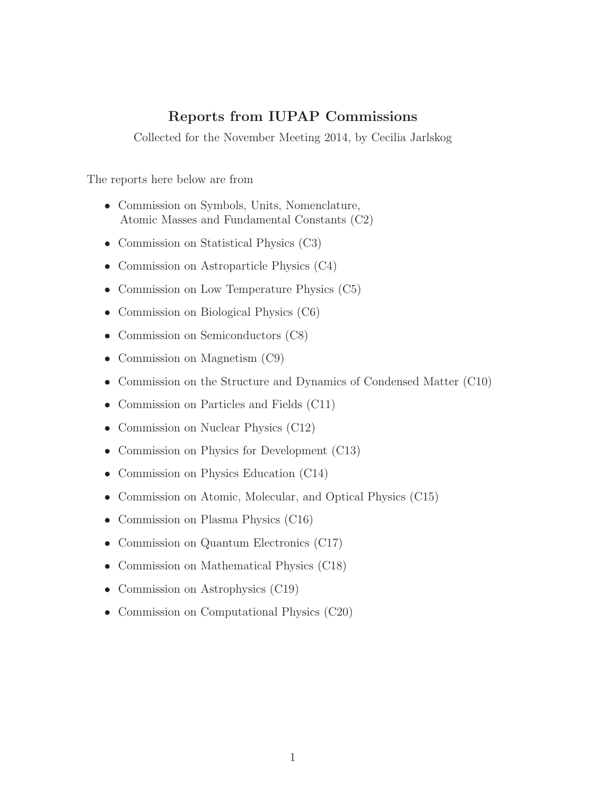# **Reports from IUPAP Commissions**

Collected for the November Meeting 2014, by Cecilia Jarlskog

The reports here below are from

- Commission on Symbols, Units, Nomenclature, Atomic Masses and Fundamental Constants (C2)
- Commission on Statistical Physics (C3)
- Commission on Astroparticle Physics (C4)
- Commission on Low Temperature Physics (C5)
- Commission on Biological Physics (C6)
- Commission on Semiconductors (C8)
- Commission on Magnetism (C9)
- Commission on the Structure and Dynamics of Condensed Matter (C10)
- Commission on Particles and Fields (C11)
- Commission on Nuclear Physics (C12)
- Commission on Physics for Development (C13)
- Commission on Physics Education (C14)
- Commission on Atomic, Molecular, and Optical Physics (C15)
- Commission on Plasma Physics (C16)
- Commission on Quantum Electronics (C17)
- Commission on Mathematical Physics (C18)
- Commission on Astrophysics (C19)
- Commission on Computational Physics (C20)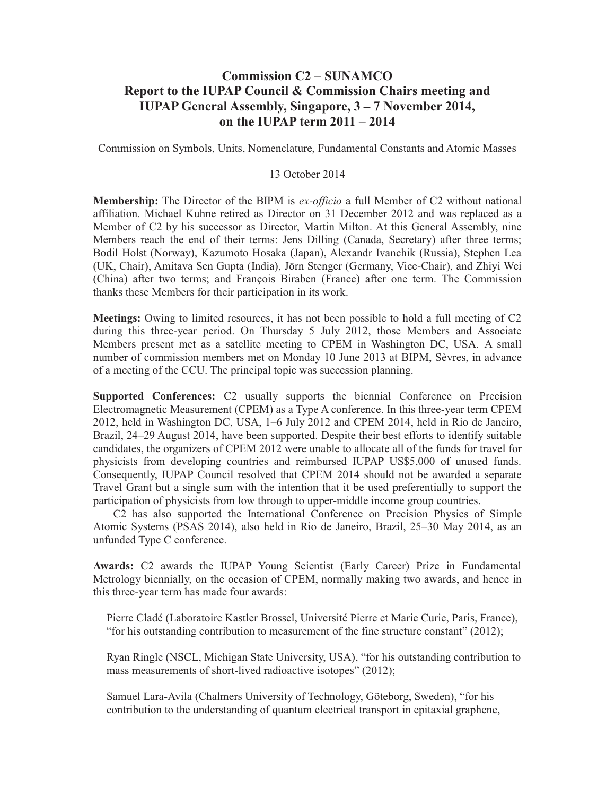# **Commission C2 – SUNAMCO Report to the IUPAP Council & Commission Chairs meeting and IUPAP General Assembly, Singapore, 3 – 7 November 2014, on the IUPAP term 2011 – 2014**

Commission on Symbols, Units, Nomenclature, Fundamental Constants and Atomic Masses

## 13 October 2014

**Membership:** The Director of the BIPM is *ex-officio* a full Member of C2 without national affiliation. Michael Kuhne retired as Director on 31 December 2012 and was replaced as a Member of C2 by his successor as Director, Martin Milton. At this General Assembly, nine Members reach the end of their terms: Jens Dilling (Canada, Secretary) after three terms; Bodil Holst (Norway), Kazumoto Hosaka (Japan), Alexandr Ivanchik (Russia), Stephen Lea (UK, Chair), Amitava Sen Gupta (India), Jörn Stenger (Germany, Vice-Chair), and Zhiyi Wei (China) after two terms; and François Biraben (France) after one term. The Commission thanks these Members for their participation in its work.

**Meetings:** Owing to limited resources, it has not been possible to hold a full meeting of C2 during this three-year period. On Thursday 5 July 2012, those Members and Associate Members present met as a satellite meeting to CPEM in Washington DC, USA. A small number of commission members met on Monday 10 June 2013 at BIPM, Sèvres, in advance of a meeting of the CCU. The principal topic was succession planning.

**Supported Conferences:** C2 usually supports the biennial Conference on Precision Electromagnetic Measurement (CPEM) as a Type A conference. In this three-year term CPEM 2012, held in Washington DC, USA, 1–6 July 2012 and CPEM 2014, held in Rio de Janeiro, Brazil, 24–29 August 2014, have been supported. Despite their best efforts to identify suitable candidates, the organizers of CPEM 2012 were unable to allocate all of the funds for travel for physicists from developing countries and reimbursed IUPAP US\$5,000 of unused funds. Consequently, IUPAP Council resolved that CPEM 2014 should not be awarded a separate Travel Grant but a single sum with the intention that it be used preferentially to support the participation of physicists from low through to upper-middle income group countries.

C2 has also supported the International Conference on Precision Physics of Simple Atomic Systems (PSAS 2014), also held in Rio de Janeiro, Brazil, 25–30 May 2014, as an unfunded Type C conference.

**Awards:** C2 awards the IUPAP Young Scientist (Early Career) Prize in Fundamental Metrology biennially, on the occasion of CPEM, normally making two awards, and hence in this three-year term has made four awards:

Pierre Cladé (Laboratoire Kastler Brossel, Université Pierre et Marie Curie, Paris, France), "for his outstanding contribution to measurement of the fine structure constant" (2012);

Ryan Ringle (NSCL, Michigan State University, USA), "for his outstanding contribution to mass measurements of short-lived radioactive isotopes" (2012);

Samuel Lara-Avila (Chalmers University of Technology, Göteborg, Sweden), "for his contribution to the understanding of quantum electrical transport in epitaxial graphene,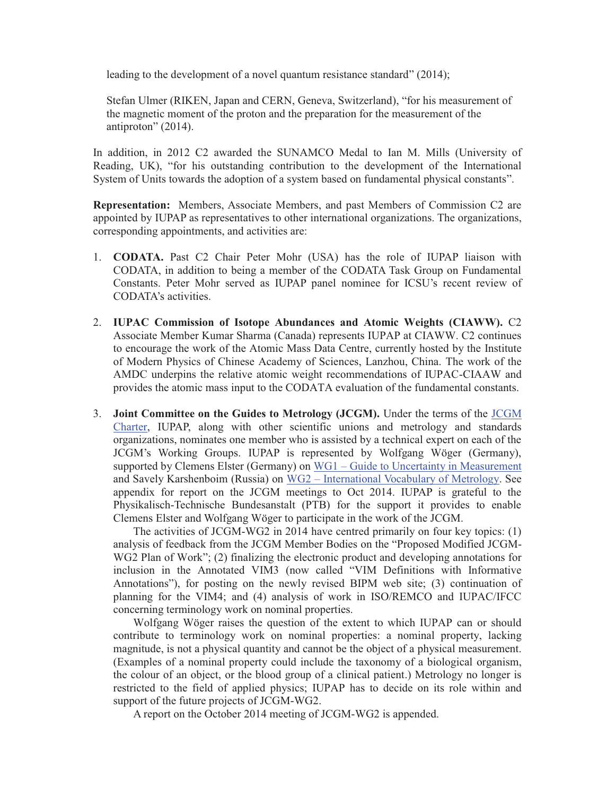leading to the development of a novel quantum resistance standard" (2014);

Stefan Ulmer (RIKEN, Japan and CERN, Geneva, Switzerland), "for his measurement of the magnetic moment of the proton and the preparation for the measurement of the antiproton" (2014).

In addition, in 2012 C2 awarded the SUNAMCO Medal to Ian M. Mills (University of Reading, UK), "for his outstanding contribution to the development of the International System of Units towards the adoption of a system based on fundamental physical constants".

**Representation:** Members, Associate Members, and past Members of Commission C2 are appointed by IUPAP as representatives to other international organizations. The organizations, corresponding appointments, and activities are:

- 1. **CODATA.** Past C2 Chair Peter Mohr (USA) has the role of IUPAP liaison with CODATA, in addition to being a member of the CODATA Task Group on Fundamental Constants. Peter Mohr served as IUPAP panel nominee for ICSU's recent review of CODATA's activities.
- 2. **IUPAC Commission of Isotope Abundances and Atomic Weights (CIAWW).** C2 Associate Member Kumar Sharma (Canada) represents IUPAP at CIAWW. C2 continues to encourage the work of the Atomic Mass Data Centre, currently hosted by the Institute of Modern Physics of Chinese Academy of Sciences, Lanzhou, China. The work of the AMDC underpins the relative atomic weight recommendations of IUPAC-CIAAW and provides the atomic mass input to the CODATA evaluation of the fundamental constants.
- 3. **Joint Committee on the Guides to Metrology (JCGM).** Under the terms of the JCGM Charter, IUPAP, along with other scientific unions and metrology and standards organizations, nominates one member who is assisted by a technical expert on each of the JCGM's Working Groups. IUPAP is represented by Wolfgang Wöger (Germany), supported by Clemens Elster (Germany) on WG1 – Guide to Uncertainty in Measurement and Savely Karshenboim (Russia) on WG2 – International Vocabulary of Metrology. See appendix for report on the JCGM meetings to Oct 2014. IUPAP is grateful to the Physikalisch-Technische Bundesanstalt (PTB) for the support it provides to enable Clemens Elster and Wolfgang Wöger to participate in the work of the JCGM.

The activities of JCGM-WG2 in 2014 have centred primarily on four key topics: (1) analysis of feedback from the JCGM Member Bodies on the "Proposed Modified JCGM-WG2 Plan of Work"; (2) finalizing the electronic product and developing annotations for inclusion in the Annotated VIM3 (now called "VIM Definitions with Informative Annotations"), for posting on the newly revised BIPM web site; (3) continuation of planning for the VIM4; and (4) analysis of work in ISO/REMCO and IUPAC/IFCC concerning terminology work on nominal properties.

Wolfgang Wöger raises the question of the extent to which IUPAP can or should contribute to terminology work on nominal properties: a nominal property, lacking magnitude, is not a physical quantity and cannot be the object of a physical measurement. (Examples of a nominal property could include the taxonomy of a biological organism, the colour of an object, or the blood group of a clinical patient.) Metrology no longer is restricted to the field of applied physics; IUPAP has to decide on its role within and support of the future projects of JCGM-WG2.

A report on the October 2014 meeting of JCGM-WG2 is appended.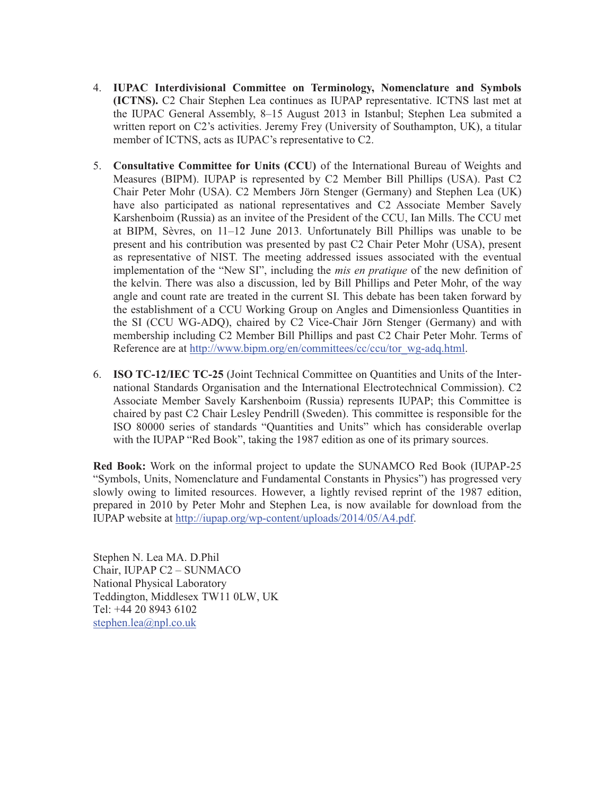- 4. **IUPAC Interdivisional Committee on Terminology, Nomenclature and Symbols (ICTNS).** C2 Chair Stephen Lea continues as IUPAP representative. ICTNS last met at the IUPAC General Assembly, 8–15 August 2013 in Istanbul; Stephen Lea submited a written report on C2's activities. Jeremy Frey (University of Southampton, UK), a titular member of ICTNS, acts as IUPAC's representative to C2.
- 5. **Consultative Committee for Units (CCU)** of the International Bureau of Weights and Measures (BIPM). IUPAP is represented by C2 Member Bill Phillips (USA). Past C2 Chair Peter Mohr (USA). C2 Members Jörn Stenger (Germany) and Stephen Lea (UK) have also participated as national representatives and C2 Associate Member Savely Karshenboim (Russia) as an invitee of the President of the CCU, Ian Mills. The CCU met at BIPM, Sèvres, on 11–12 June 2013. Unfortunately Bill Phillips was unable to be present and his contribution was presented by past C2 Chair Peter Mohr (USA), present as representative of NIST. The meeting addressed issues associated with the eventual implementation of the "New SI", including the *mis en pratique* of the new definition of the kelvin. There was also a discussion, led by Bill Phillips and Peter Mohr, of the way angle and count rate are treated in the current SI. This debate has been taken forward by the establishment of a CCU Working Group on Angles and Dimensionless Quantities in the SI (CCU WG-ADQ), chaired by C2 Vice-Chair Jörn Stenger (Germany) and with membership including C2 Member Bill Phillips and past C2 Chair Peter Mohr. Terms of Reference are at http://www.bipm.org/en/committees/cc/ccu/tor\_wg-adq.html.
- 6. **ISO TC-12/IEC TC-25** (Joint Technical Committee on Quantities and Units of the International Standards Organisation and the International Electrotechnical Commission). C2 Associate Member Savely Karshenboim (Russia) represents IUPAP; this Committee is chaired by past C2 Chair Lesley Pendrill (Sweden). This committee is responsible for the ISO 80000 series of standards "Quantities and Units" which has considerable overlap with the IUPAP "Red Book", taking the 1987 edition as one of its primary sources.

**Red Book:** Work on the informal project to update the SUNAMCO Red Book (IUPAP-25 "Symbols, Units, Nomenclature and Fundamental Constants in Physics") has progressed very slowly owing to limited resources. However, a lightly revised reprint of the 1987 edition, prepared in 2010 by Peter Mohr and Stephen Lea, is now available for download from the IUPAP website at http://iupap.org/wp-content/uploads/2014/05/A4.pdf.

Stephen N. Lea MA. D.Phil Chair, IUPAP C2 – SUNMACO National Physical Laboratory Teddington, Middlesex TW11 0LW, UK Tel: +44 20 8943 6102 stephen.lea@npl.co.uk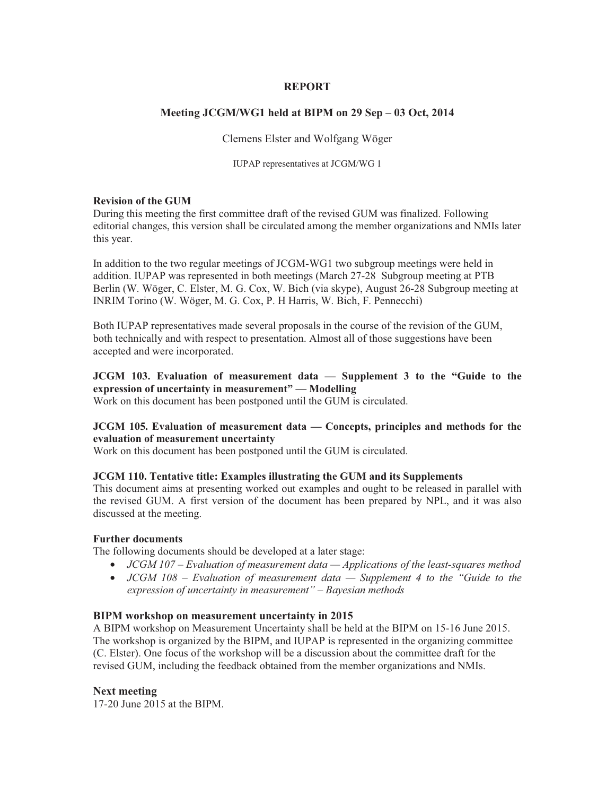## **REPORT**

## **Meeting JCGM/WG1 held at BIPM on 29 Sep – 03 Oct, 2014**

Clemens Elster and Wolfgang Wöger

IUPAP representatives at JCGM/WG 1

#### **Revision of the GUM**

During this meeting the first committee draft of the revised GUM was finalized. Following editorial changes, this version shall be circulated among the member organizations and NMIs later this year.

In addition to the two regular meetings of JCGM-WG1 two subgroup meetings were held in addition. IUPAP was represented in both meetings (March 27-28 Subgroup meeting at PTB Berlin (W. Wöger, C. Elster, M. G. Cox, W. Bich (via skype), August 26-28 Subgroup meeting at INRIM Torino (W. Wöger, M. G. Cox, P. H Harris, W. Bich, F. Pennecchi)

Both IUPAP representatives made several proposals in the course of the revision of the GUM, both technically and with respect to presentation. Almost all of those suggestions have been accepted and were incorporated.

## **JCGM 103. Evaluation of measurement data — Supplement 3 to the "Guide to the expression of uncertainty in measurement" — Modelling**

Work on this document has been postponed until the GUM is circulated.

## **JCGM 105. Evaluation of measurement data — Concepts, principles and methods for the evaluation of measurement uncertainty**

Work on this document has been postponed until the GUM is circulated.

### **JCGM 110. Tentative title: Examples illustrating the GUM and its Supplements**

This document aims at presenting worked out examples and ought to be released in parallel with the revised GUM. A first version of the document has been prepared by NPL, and it was also discussed at the meeting.

#### **Further documents**

The following documents should be developed at a later stage:

- *JCGM 107 Evaluation of measurement data Applications of the least-squares method*
- *JCGM 108 Evaluation of measurement data Supplement 4 to the "Guide to the expression of uncertainty in measurement" – Bayesian methods*

#### **BIPM workshop on measurement uncertainty in 2015**

A BIPM workshop on Measurement Uncertainty shall be held at the BIPM on 15-16 June 2015. The workshop is organized by the BIPM, and IUPAP is represented in the organizing committee (C. Elster). One focus of the workshop will be a discussion about the committee draft for the revised GUM, including the feedback obtained from the member organizations and NMIs.

#### **Next meeting**

17-20 June 2015 at the BIPM.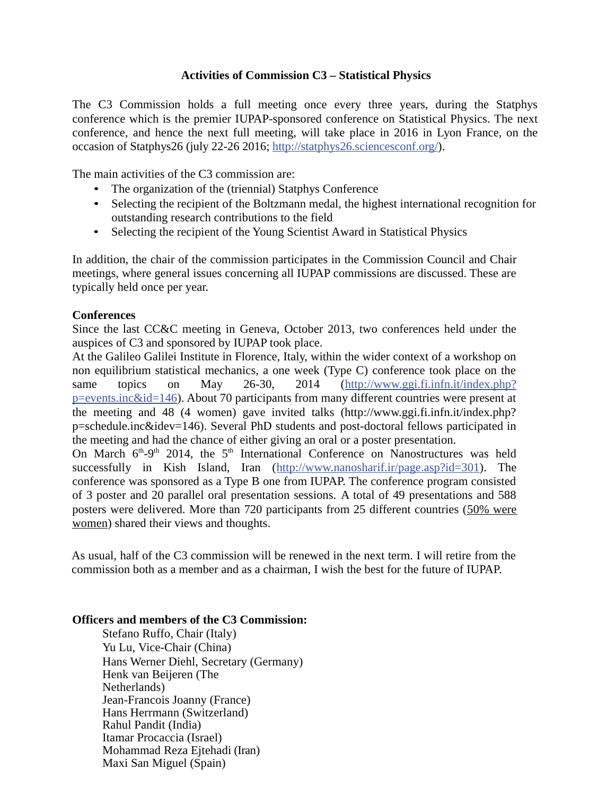## **Activities of Commission C3 - Statistical Physics**

The C3 Commission holds a full meeting once every three years, during the Statphys conference which is the premier IUPAP-sponsored conference on Statistical Physics. The next conference, and hence the next full meeting, will take place in 2016 in Lyon France, on the occasion of Statphys26 (july 22-26 2016; http://statphys26.sciencesconf.org/).

The main activities of the C3 commission are:

- The organization of the (triennial) Statphys Conference  $\bullet$
- Selecting the recipient of the Boltzmann medal, the highest international recognition for outstanding research contributions to the field
- Selecting the recipient of the Young Scientist Award in Statistical Physics

In addition, the chair of the commission participates in the Commission Council and Chair meetings, where general issues concerning all IUPAP commissions are discussed. These are typically held once per year.

## **Conferences**

Since the last CC&C meeting in Geneva, October 2013, two conferences held under the auspices of C3 and sponsored by IUPAP took place.

At the Galileo Galilei Institute in Florence, Italy, within the wider context of a workshop on non equilibrium statistical mechanics, a one week (Type C) conference took place on the same topics on May  $26 - 30.$ 2014  $(http://www.ggi.fi.infn.it/index.php?$ p=events.inc&id=146). About 70 participants from many different countries were present at the meeting and 48 (4 women) gave invited talks (http://www.ggi.fi.infn.it/index.php? p=schedule.inc&idev=146). Several PhD students and post-doctoral fellows participated in the meeting and had the chance of either giving an oral or a poster presentation.

On March 6<sup>th</sup>-9<sup>th</sup> 2014, the 5<sup>th</sup> International Conference on Nanostructures was held successfully in Kish Island, Iran (http://www.nanosharif.ir/page.asp?id=301). The conference was sponsored as a Type B one from IUPAP. The conference program consisted of 3 poster and 20 parallel oral presentation sessions. A total of 49 presentations and 588 posters were delivered. More than 720 participants from 25 different countries (50% were women) shared their views and thoughts.

As usual, half of the C3 commission will be renewed in the next term. I will retire from the commission both as a member and as a chairman, I wish the best for the future of IUPAP.

## **Officers and members of the C3 Commission:**

Stefano Ruffo, Chair (Italy) Yu Lu, Vice-Chair (China) Hans Werner Diehl, Secretary (Germany) Henk van Beijeren (The Netherlands) Jean-Francois Joanny (France) Hans Herrmann (Switzerland) Rahul Pandit (India) Itamar Procaccia (Israel) Mohammad Reza Ejtehadi (Iran) Maxi San Miguel (Spain)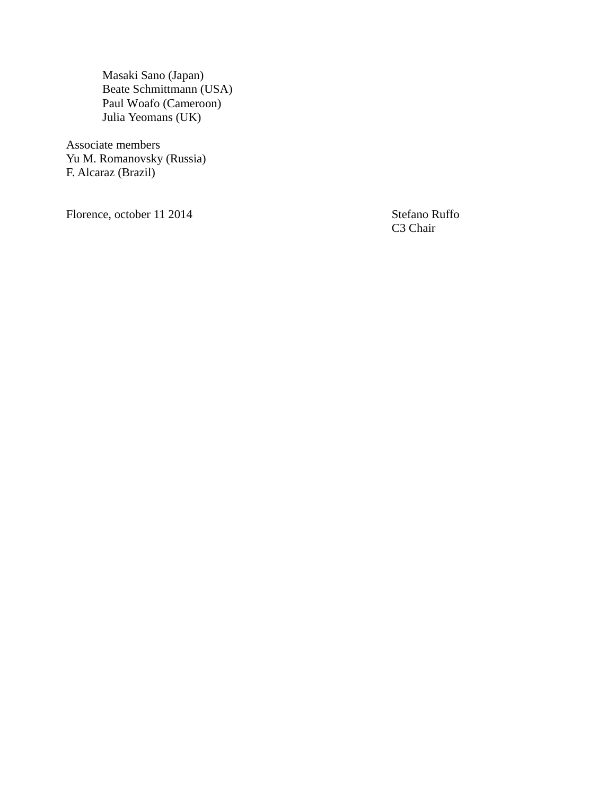Masaki Sano (Japan) Beate Schmittmann (USA) Paul Woafo (Cameroon) Julia Yeomans (UK)

Associate members Yu M. Romanovsky (Russia) F. Alcaraz (Brazil)

Florence, october 11 2014

Stefano Ruffo C3 Chair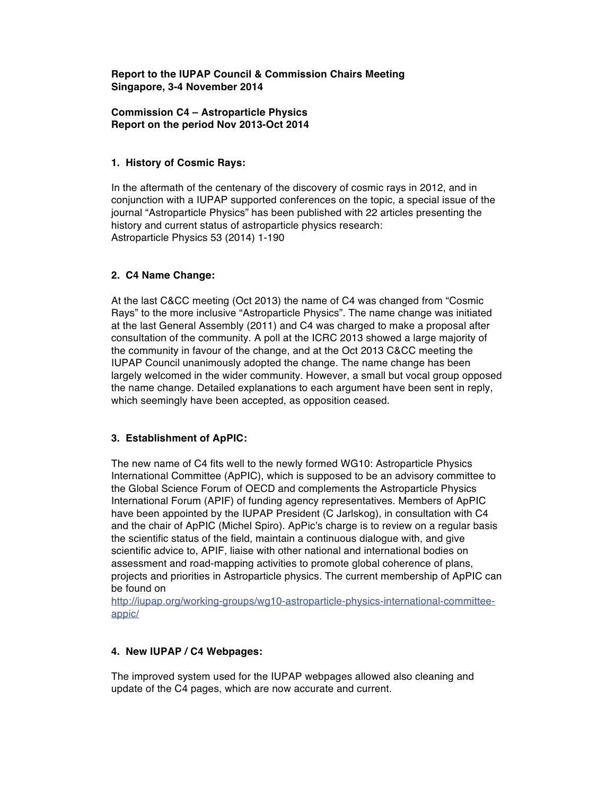## **Report to the IUPAP Council & Commission Chairs Meeting Singapore, 3-4 November 2014**

## **Commission C4 – Astroparticle Physics Report on the period Nov 2013-Oct 2014**

## **1. History of Cosmic Rays:**

In the aftermath of the centenary of the discovery of cosmic rays in 2012, and in conjunction with a IUPAP supported conferences on the topic, a special issue of the journal "Astroparticle Physics" has been published with 22 articles presenting the history and current status of astroparticle physics research: Astroparticle Physics 53 (2014) 1-190

## **2. C4 Name Change:**

At the last C&CC meeting (Oct 2013) the name of C4 was changed from "Cosmic Rays" to the more inclusive "Astroparticle Physics". The name change was initiated at the last General Assembly (2011) and C4 was charged to make a proposal after consultation of the community. A poll at the ICRC 2013 showed a large majority of the community in favour of the change, and at the Oct 2013 C&CC meeting the IUPAP Council unanimously adopted the change. The name change has been largely welcomed in the wider community. However, a small but vocal group opposed the name change. Detailed explanations to each argument have been sent in reply, which seemingly have been accepted, as opposition ceased.

## **3. Establishment of ApPIC:**

The new name of C4 fits well to the newly formed WG10: Astroparticle Physics International Committee (ApPIC), which is supposed to be an advisory committee to the Global Science Forum of OECD and complements the Astroparticle Physics International Forum (APIF) of funding agency representatives. Members of ApPIC have been appointed by the IUPAP President (C Jarlskog), in consultation with C4 and the chair of ApPIC (Michel Spiro). ApPic's charge is to review on a regular basis the scientific status of the field, maintain a continuous dialogue with, and give scientific advice to, APIF, liaise with other national and international bodies on assessment and road-mapping activities to promote global coherence of plans, projects and priorities in Astroparticle physics. The current membership of ApPIC can be found on

http://iupap.org/working-groups/wg10-astroparticle-physics-international-committeeappic/

## **4. New IUPAP / C4 Webpages:**

The improved system used for the IUPAP webpages allowed also cleaning and update of the C4 pages, which are now accurate and current.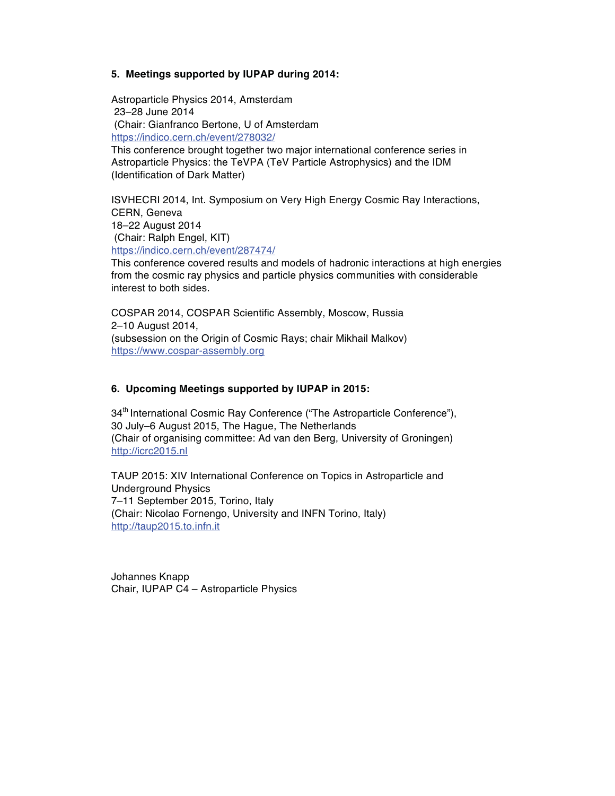## **5. Meetings supported by IUPAP during 2014:**

Astroparticle Physics 2014, Amsterdam 23–28 June 2014 (Chair: Gianfranco Bertone, U of Amsterdam https://indico.cern.ch/event/278032/

This conference brought together two major international conference series in Astroparticle Physics: the TeVPA (TeV Particle Astrophysics) and the IDM (Identification of Dark Matter)

ISVHECRI 2014, Int. Symposium on Very High Energy Cosmic Ray Interactions, CERN, Geneva 18–22 August 2014 (Chair: Ralph Engel, KIT) https://indico.cern.ch/event/287474/

This conference covered results and models of hadronic interactions at high energies from the cosmic ray physics and particle physics communities with considerable interest to both sides.

COSPAR 2014, COSPAR Scientific Assembly, Moscow, Russia 2–10 August 2014, (subsession on the Origin of Cosmic Rays; chair Mikhail Malkov) https://www.cospar-assembly.org

## **6. Upcoming Meetings supported by IUPAP in 2015:**

34<sup>th</sup> International Cosmic Ray Conference ("The Astroparticle Conference"), 30 July–6 August 2015, The Hague, The Netherlands (Chair of organising committee: Ad van den Berg, University of Groningen) http://icrc2015.nl

TAUP 2015: XIV International Conference on Topics in Astroparticle and Underground Physics 7–11 September 2015, Torino, Italy (Chair: Nicolao Fornengo, University and INFN Torino, Italy) http://taup2015.to.infn.it

Johannes Knapp Chair, IUPAP C4 – Astroparticle Physics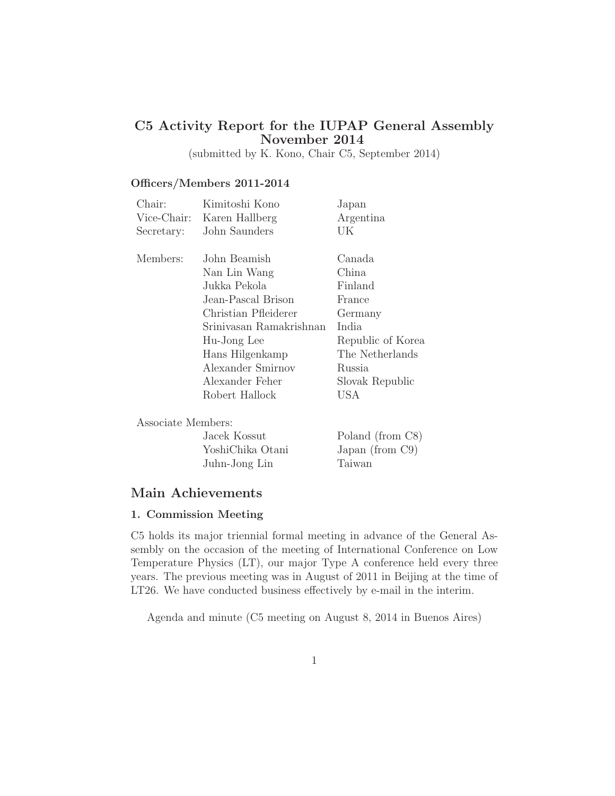## **C5 Activity Report for the IUPAP General Assembly November 2014**

(submitted by K. Kono, Chair C5, September 2014)

### **Officers/Members 2011-2014**

| Chair:             | Kimitoshi Kono          | Japan             |
|--------------------|-------------------------|-------------------|
| Vice-Chair:        | Karen Hallberg          | Argentina         |
| Secretary:         | John Saunders           | UK                |
| Members:           | John Beamish            | Canada            |
|                    | Nan Lin Wang            | China             |
|                    | Jukka Pekola            | Finland           |
|                    | Jean-Pascal Brison      | France            |
|                    | Christian Pfleiderer    | Germany           |
|                    | Sriniyasan Ramakrishnan | India             |
|                    | Hu-Jong Lee             | Republic of Korea |
|                    | Hans Hilgenkamp         | The Netherlands   |
|                    | Alexander Smirnov       | Russia            |
|                    | Alexander Feher         | Slovak Republic   |
|                    | Robert Hallock          | USA               |
| Associate Members: |                         |                   |

| Jacek Kossut     | Poland (from C8)   |
|------------------|--------------------|
| YoshiChika Otani | Japan (from $C9$ ) |
| Juhn-Jong Lin    | Taiwan             |

## **Main Achievements**

#### **1. Commission Meeting**

C5 holds its major triennial formal meeting in advance of the General Assembly on the occasion of the meeting of International Conference on Low Temperature Physics (LT), our major Type A conference held every three years. The previous meeting was in August of 2011 in Beijing at the time of LT26. We have conducted business effectively by e-mail in the interim.

Agenda and minute (C5 meeting on August 8, 2014 in Buenos Aires)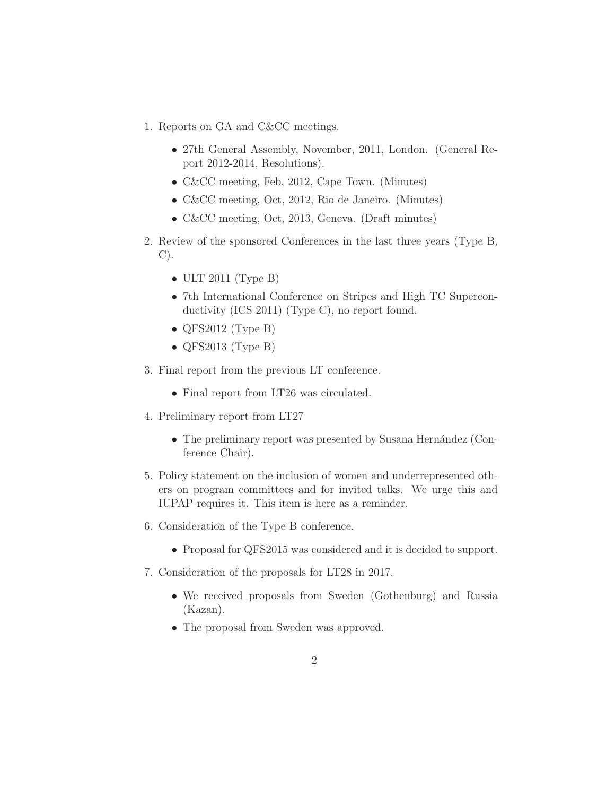- 1. Reports on GA and C&CC meetings.
	- 27th General Assembly, November, 2011, London. (General Report 2012-2014, Resolutions).
	- C&CC meeting, Feb, 2012, Cape Town. (Minutes)
	- C&CC meeting, Oct, 2012, Rio de Janeiro. (Minutes)
	- C&CC meeting, Oct, 2013, Geneva. (Draft minutes)
- 2. Review of the sponsored Conferences in the last three years (Type B, C).
	- ULT 2011 (Type B)
	- 7th International Conference on Stripes and High TC Superconductivity (ICS 2011) (Type C), no report found.
	- QFS2012 (Type B)
	- QFS2013 (Type B)
- 3. Final report from the previous LT conference.
	- Final report from LT26 was circulated.
- 4. Preliminary report from LT27
	- The preliminary report was presented by Susana Hernández (Conference Chair).
- 5. Policy statement on the inclusion of women and underrepresented others on program committees and for invited talks. We urge this and IUPAP requires it. This item is here as a reminder.
- 6. Consideration of the Type B conference.
	- Proposal for QFS2015 was considered and it is decided to support.
- 7. Consideration of the proposals for LT28 in 2017.
	- We received proposals from Sweden (Gothenburg) and Russia (Kazan).
	- The proposal from Sweden was approved.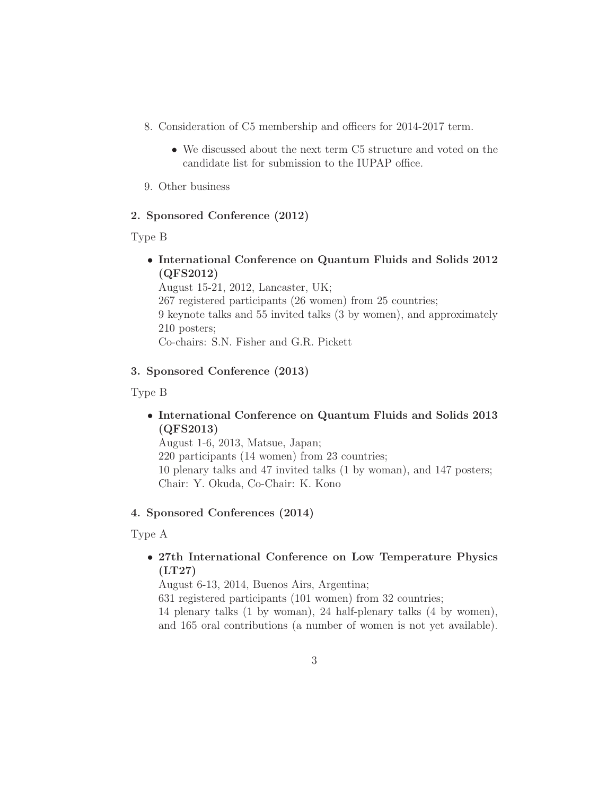- 8. Consideration of C5 membership and officers for 2014-2017 term.
	- We discussed about the next term C5 structure and voted on the candidate list for submission to the IUPAP office.
- 9. Other business

## **2. Sponsored Conference (2012)**

Type B

• **International Conference on Quantum Fluids and Solids 2012 (QFS2012)**

August 15-21, 2012, Lancaster, UK; 267 registered participants (26 women) from 25 countries; 9 keynote talks and 55 invited talks (3 by women), and approximately 210 posters; Co-chairs: S.N. Fisher and G.R. Pickett

## **3. Sponsored Conference (2013)**

Type B

• **International Conference on Quantum Fluids and Solids 2013 (QFS2013)**

August 1-6, 2013, Matsue, Japan; 220 participants (14 women) from 23 countries; 10 plenary talks and 47 invited talks (1 by woman), and 147 posters; Chair: Y. Okuda, Co-Chair: K. Kono

## **4. Sponsored Conferences (2014)**

Type A

## • **27th International Conference on Low Temperature Physics (LT27)**

August 6-13, 2014, Buenos Airs, Argentina; 631 registered participants (101 women) from 32 countries; 14 plenary talks (1 by woman), 24 half-plenary talks (4 by women), and 165 oral contributions (a number of women is not yet available).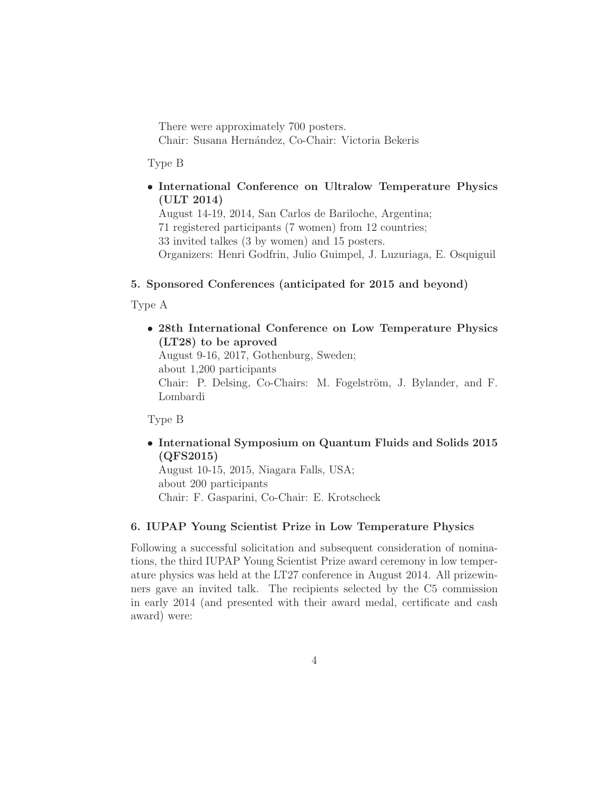There were approximately 700 posters. Chair: Susana Hernández, Co-Chair: Victoria Bekeris

Type B

• **International Conference on Ultralow Temperature Physics (ULT 2014)**

August 14-19, 2014, San Carlos de Bariloche, Argentina; 71 registered participants (7 women) from 12 countries; 33 invited talkes (3 by women) and 15 posters. Organizers: Henri Godfrin, Julio Guimpel, J. Luzuriaga, E. Osquiguil

#### **5. Sponsored Conferences (anticipated for 2015 and beyond)**

Type A

• **28th International Conference on Low Temperature Physics (LT28) to be aproved** August 9-16, 2017, Gothenburg, Sweden;

about 1,200 participants Chair: P. Delsing, Co-Chairs: M. Fogelström, J. Bylander, and F.

Type B

Lombardi

• **International Symposium on Quantum Fluids and Solids 2015 (QFS2015)**

August 10-15, 2015, Niagara Falls, USA; about 200 participants Chair: F. Gasparini, Co-Chair: E. Krotscheck

#### **6. IUPAP Young Scientist Prize in Low Temperature Physics**

Following a successful solicitation and subsequent consideration of nominations, the third IUPAP Young Scientist Prize award ceremony in low temperature physics was held at the LT27 conference in August 2014. All prizewinners gave an invited talk. The recipients selected by the C5 commission in early 2014 (and presented with their award medal, certificate and cash award) were: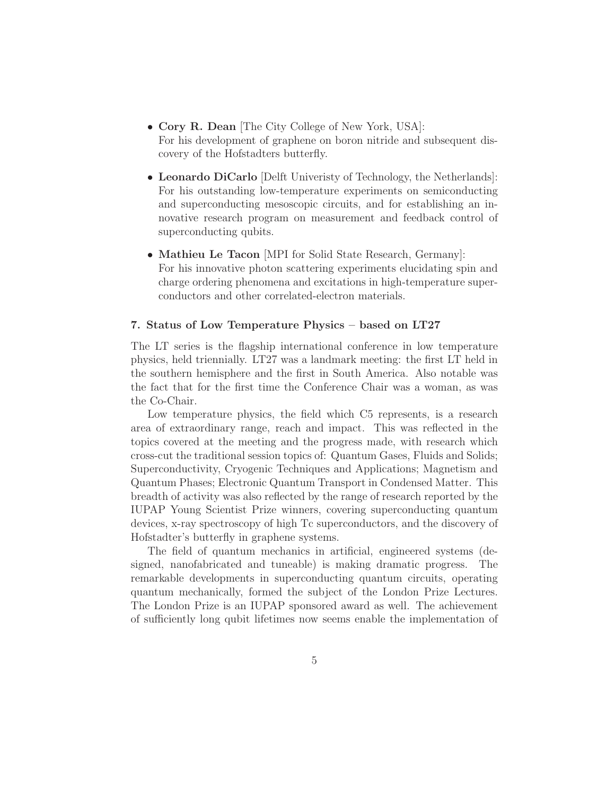- **Cory R. Dean** [The City College of New York, USA]: For his development of graphene on boron nitride and subsequent discovery of the Hofstadters butterfly.
- **Leonardo DiCarlo** [Delft Univeristy of Technology, the Netherlands]: For his outstanding low-temperature experiments on semiconducting and superconducting mesoscopic circuits, and for establishing an innovative research program on measurement and feedback control of superconducting qubits.
- **Mathieu Le Tacon** [MPI for Solid State Research, Germany]: For his innovative photon scattering experiments elucidating spin and charge ordering phenomena and excitations in high-temperature superconductors and other correlated-electron materials.

#### **7. Status of Low Temperature Physics – based on LT27**

The LT series is the flagship international conference in low temperature physics, held triennially. LT27 was a landmark meeting: the first LT held in the southern hemisphere and the first in South America. Also notable was the fact that for the first time the Conference Chair was a woman, as was the Co-Chair.

Low temperature physics, the field which C5 represents, is a research area of extraordinary range, reach and impact. This was reflected in the topics covered at the meeting and the progress made, with research which cross-cut the traditional session topics of: Quantum Gases, Fluids and Solids; Superconductivity, Cryogenic Techniques and Applications; Magnetism and Quantum Phases; Electronic Quantum Transport in Condensed Matter. This breadth of activity was also reflected by the range of research reported by the IUPAP Young Scientist Prize winners, covering superconducting quantum devices, x-ray spectroscopy of high Tc superconductors, and the discovery of Hofstadter's butterfly in graphene systems.

The field of quantum mechanics in artificial, engineered systems (designed, nanofabricated and tuneable) is making dramatic progress. The remarkable developments in superconducting quantum circuits, operating quantum mechanically, formed the subject of the London Prize Lectures. The London Prize is an IUPAP sponsored award as well. The achievement of sufficiently long qubit lifetimes now seems enable the implementation of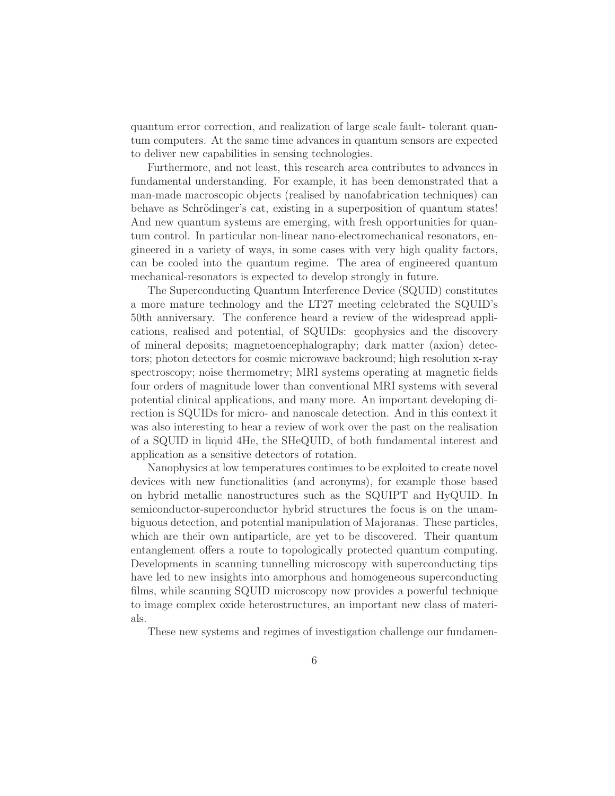quantum error correction, and realization of large scale fault- tolerant quantum computers. At the same time advances in quantum sensors are expected to deliver new capabilities in sensing technologies.

Furthermore, and not least, this research area contributes to advances in fundamental understanding. For example, it has been demonstrated that a man-made macroscopic objects (realised by nanofabrication techniques) can behave as Schrödinger's cat, existing in a superposition of quantum states! And new quantum systems are emerging, with fresh opportunities for quantum control. In particular non-linear nano-electromechanical resonators, engineered in a variety of ways, in some cases with very high quality factors, can be cooled into the quantum regime. The area of engineered quantum mechanical-resonators is expected to develop strongly in future.

The Superconducting Quantum Interference Device (SQUID) constitutes a more mature technology and the LT27 meeting celebrated the SQUID's 50th anniversary. The conference heard a review of the widespread applications, realised and potential, of SQUIDs: geophysics and the discovery of mineral deposits; magnetoencephalography; dark matter (axion) detectors; photon detectors for cosmic microwave backround; high resolution x-ray spectroscopy; noise thermometry; MRI systems operating at magnetic fields four orders of magnitude lower than conventional MRI systems with several potential clinical applications, and many more. An important developing direction is SQUIDs for micro- and nanoscale detection. And in this context it was also interesting to hear a review of work over the past on the realisation of a SQUID in liquid 4He, the SHeQUID, of both fundamental interest and application as a sensitive detectors of rotation.

Nanophysics at low temperatures continues to be exploited to create novel devices with new functionalities (and acronyms), for example those based on hybrid metallic nanostructures such as the SQUIPT and HyQUID. In semiconductor-superconductor hybrid structures the focus is on the unambiguous detection, and potential manipulation of Majoranas. These particles, which are their own antiparticle, are yet to be discovered. Their quantum entanglement offers a route to topologically protected quantum computing. Developments in scanning tunnelling microscopy with superconducting tips have led to new insights into amorphous and homogeneous superconducting films, while scanning SQUID microscopy now provides a powerful technique to image complex oxide heterostructures, an important new class of materials.

These new systems and regimes of investigation challenge our fundamen-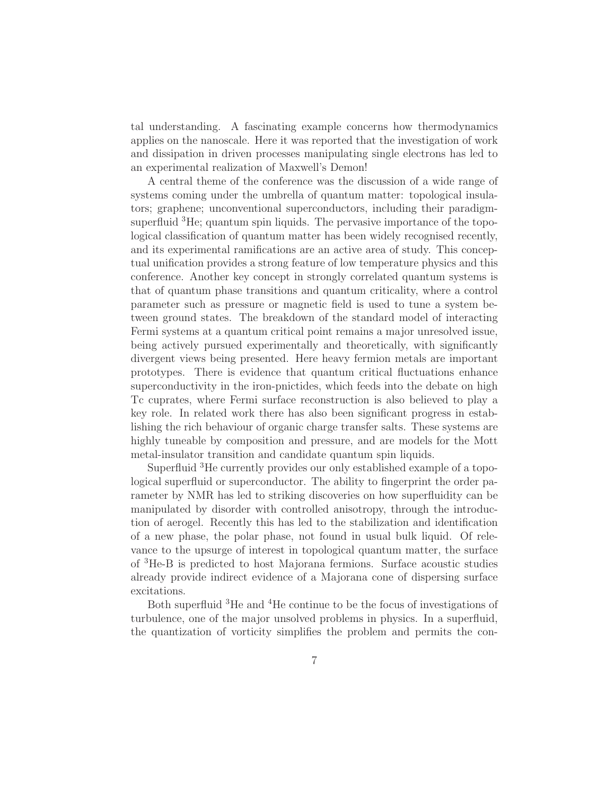tal understanding. A fascinating example concerns how thermodynamics applies on the nanoscale. Here it was reported that the investigation of work and dissipation in driven processes manipulating single electrons has led to an experimental realization of Maxwell's Demon!

A central theme of the conference was the discussion of a wide range of systems coming under the umbrella of quantum matter: topological insulators; graphene; unconventional superconductors, including their paradigmsuperfluid  ${}^{3}$ He; quantum spin liquids. The pervasive importance of the topological classification of quantum matter has been widely recognised recently, and its experimental ramifications are an active area of study. This conceptual unification provides a strong feature of low temperature physics and this conference. Another key concept in strongly correlated quantum systems is that of quantum phase transitions and quantum criticality, where a control parameter such as pressure or magnetic field is used to tune a system between ground states. The breakdown of the standard model of interacting Fermi systems at a quantum critical point remains a major unresolved issue, being actively pursued experimentally and theoretically, with significantly divergent views being presented. Here heavy fermion metals are important prototypes. There is evidence that quantum critical fluctuations enhance superconductivity in the iron-pnictides, which feeds into the debate on high Tc cuprates, where Fermi surface reconstruction is also believed to play a key role. In related work there has also been significant progress in establishing the rich behaviour of organic charge transfer salts. These systems are highly tuneable by composition and pressure, and are models for the Mott metal-insulator transition and candidate quantum spin liquids.

Superfluid <sup>3</sup>He currently provides our only established example of a topological superfluid or superconductor. The ability to fingerprint the order parameter by NMR has led to striking discoveries on how superfluidity can be manipulated by disorder with controlled anisotropy, through the introduction of aerogel. Recently this has led to the stabilization and identification of a new phase, the polar phase, not found in usual bulk liquid. Of relevance to the upsurge of interest in topological quantum matter, the surface of <sup>3</sup>He-B is predicted to host Majorana fermions. Surface acoustic studies already provide indirect evidence of a Majorana cone of dispersing surface excitations.

Both superfluid <sup>3</sup>He and <sup>4</sup>He continue to be the focus of investigations of turbulence, one of the major unsolved problems in physics. In a superfluid, the quantization of vorticity simplifies the problem and permits the con-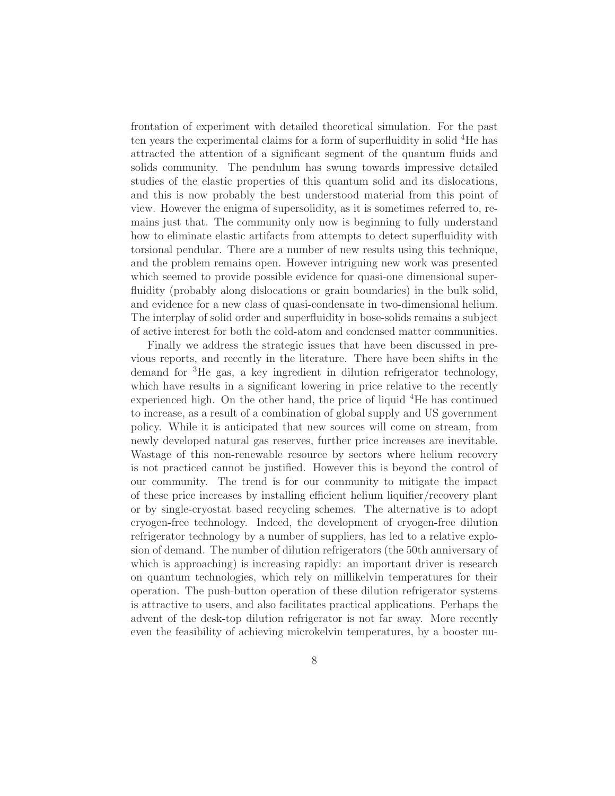frontation of experiment with detailed theoretical simulation. For the past ten years the experimental claims for a form of superfluidity in solid <sup>4</sup>He has attracted the attention of a significant segment of the quantum fluids and solids community. The pendulum has swung towards impressive detailed studies of the elastic properties of this quantum solid and its dislocations, and this is now probably the best understood material from this point of view. However the enigma of supersolidity, as it is sometimes referred to, remains just that. The community only now is beginning to fully understand how to eliminate elastic artifacts from attempts to detect superfluidity with torsional pendular. There are a number of new results using this technique, and the problem remains open. However intriguing new work was presented which seemed to provide possible evidence for quasi-one dimensional superfluidity (probably along dislocations or grain boundaries) in the bulk solid, and evidence for a new class of quasi-condensate in two-dimensional helium. The interplay of solid order and superfluidity in bose-solids remains a subject of active interest for both the cold-atom and condensed matter communities.

Finally we address the strategic issues that have been discussed in previous reports, and recently in the literature. There have been shifts in the demand for <sup>3</sup>He gas, a key ingredient in dilution refrigerator technology, which have results in a significant lowering in price relative to the recently experienced high. On the other hand, the price of liquid  ${}^{4}$ He has continued to increase, as a result of a combination of global supply and US government policy. While it is anticipated that new sources will come on stream, from newly developed natural gas reserves, further price increases are inevitable. Wastage of this non-renewable resource by sectors where helium recovery is not practiced cannot be justified. However this is beyond the control of our community. The trend is for our community to mitigate the impact of these price increases by installing efficient helium liquifier/recovery plant or by single-cryostat based recycling schemes. The alternative is to adopt cryogen-free technology. Indeed, the development of cryogen-free dilution refrigerator technology by a number of suppliers, has led to a relative explosion of demand. The number of dilution refrigerators (the 50th anniversary of which is approaching) is increasing rapidly: an important driver is research on quantum technologies, which rely on millikelvin temperatures for their operation. The push-button operation of these dilution refrigerator systems is attractive to users, and also facilitates practical applications. Perhaps the advent of the desk-top dilution refrigerator is not far away. More recently even the feasibility of achieving microkelvin temperatures, by a booster nu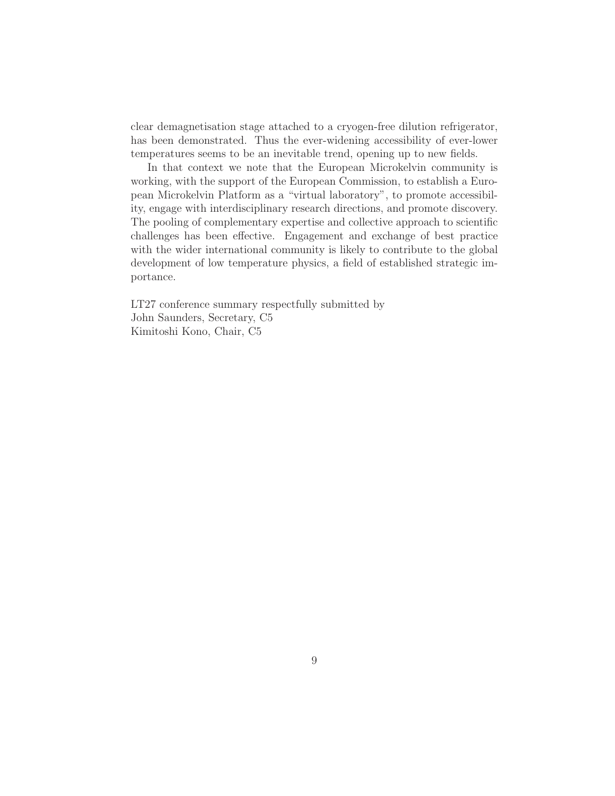clear demagnetisation stage attached to a cryogen-free dilution refrigerator, has been demonstrated. Thus the ever-widening accessibility of ever-lower temperatures seems to be an inevitable trend, opening up to new fields.

In that context we note that the European Microkelvin community is working, with the support of the European Commission, to establish a European Microkelvin Platform as a "virtual laboratory", to promote accessibility, engage with interdisciplinary research directions, and promote discovery. The pooling of complementary expertise and collective approach to scientific challenges has been effective. Engagement and exchange of best practice with the wider international community is likely to contribute to the global development of low temperature physics, a field of established strategic importance.

LT27 conference summary respectfully submitted by John Saunders, Secretary, C5 Kimitoshi Kono, Chair, C5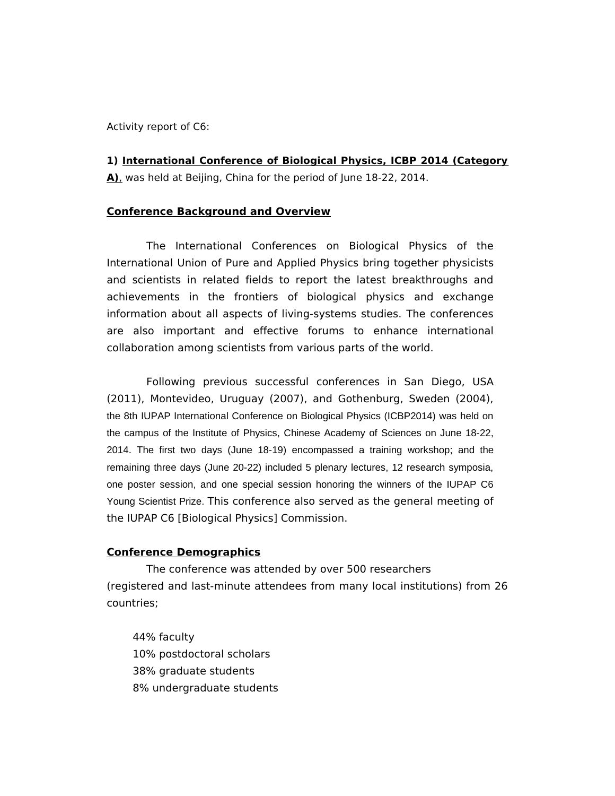Activity report of C6:

## 1) International Conference of Biological Physics, ICBP 2014 (Category A), was held at Beijing, China for the period of June 18-22, 2014.

## **Conference Background and Overview**

The International Conferences on Biological Physics of the International Union of Pure and Applied Physics bring together physicists and scientists in related fields to report the latest breakthroughs and achievements in the frontiers of biological physics and exchange information about all aspects of living-systems studies. The conferences are also important and effective forums to enhance international collaboration among scientists from various parts of the world.

Following previous successful conferences in San Diego, USA (2011), Montevideo, Uruguay (2007), and Gothenburg, Sweden (2004), the 8th IUPAP International Conference on Biological Physics (ICBP2014) was held on the campus of the Institute of Physics, Chinese Academy of Sciences on June 18-22, 2014. The first two days (June 18-19) encompassed a training workshop; and the remaining three days (June 20-22) included 5 plenary lectures, 12 research symposia, one poster session, and one special session honoring the winners of the IUPAP C6 Young Scientist Prize. This conference also served as the general meeting of the IUPAP C6 [Biological Physics] Commission.

## **Conference Demographics**

The conference was attended by over 500 researchers (registered and last-minute attendees from many local institutions) from 26 countries:

44% faculty 10% postdoctoral scholars 38% graduate students 8% undergraduate students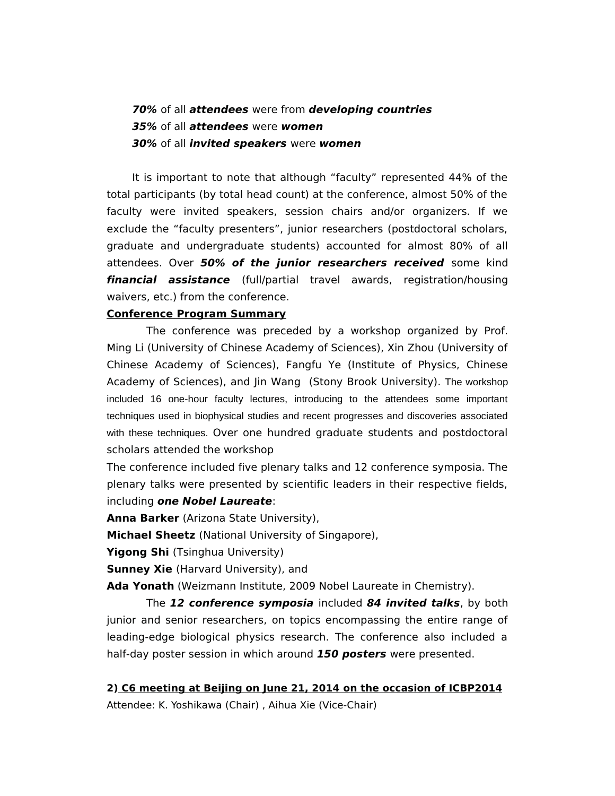# 70% of all attendees were from developing countries 35% of all attendees were women 30% of all *invited speakers* were women

It is important to note that although "faculty" represented 44% of the total participants (by total head count) at the conference, almost 50% of the faculty were invited speakers, session chairs and/or organizers. If we exclude the "faculty presenters", junior researchers (postdoctoral scholars, graduate and undergraduate students) accounted for almost 80% of all attendees. Over 50% of the junior researchers received some kind **financial assistance** (full/partial travel awards, registration/housing waivers, etc.) from the conference.

## **Conference Program Summary**

The conference was preceded by a workshop organized by Prof. Ming Li (University of Chinese Academy of Sciences), Xin Zhou (University of Chinese Academy of Sciences), Fangfu Ye (Institute of Physics, Chinese Academy of Sciences), and Jin Wang (Stony Brook University). The workshop included 16 one-hour faculty lectures, introducing to the attendees some important techniques used in biophysical studies and recent progresses and discoveries associated with these techniques. Over one hundred graduate students and postdoctoral scholars attended the workshop

The conference included five plenary talks and 12 conference symposia. The plenary talks were presented by scientific leaders in their respective fields, including one Nobel Laureate:

Anna Barker (Arizona State University),

Michael Sheetz (National University of Singapore),

Yigong Shi (Tsinghua University)

**Sunney Xie** (Harvard University), and

Ada Yonath (Weizmann Institute, 2009 Nobel Laureate in Chemistry).

The 12 conference symposia included 84 invited talks, by both junior and senior researchers, on topics encompassing the entire range of leading-edge biological physics research. The conference also included a half-day poster session in which around 150 posters were presented.

## 2) C6 meeting at Beijing on June 21, 2014 on the occasion of ICBP2014

Attendee: K. Yoshikawa (Chair), Aihua Xie (Vice-Chair)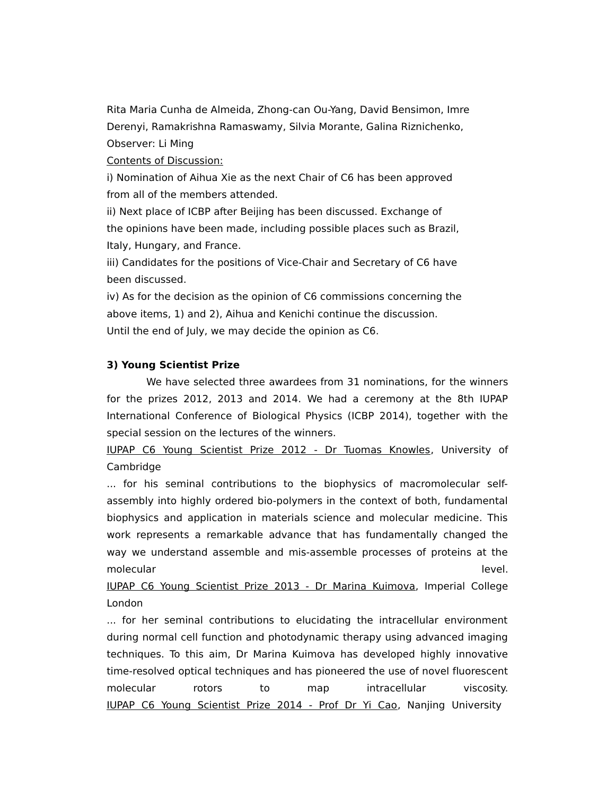Rita Maria Cunha de Almeida, Zhong-can Ou-Yang, David Bensimon, Imre Derenyi, Ramakrishna Ramaswamy, Silvia Morante, Galina Riznichenko, Observer: Li Ming

**Contents of Discussion:** 

i) Nomination of Aihua Xie as the next Chair of C6 has been approved from all of the members attended.

ii) Next place of ICBP after Beijing has been discussed. Exchange of the opinions have been made, including possible places such as Brazil, Italy, Hungary, and France.

iii) Candidates for the positions of Vice-Chair and Secretary of C6 have been discussed.

iv) As for the decision as the opinion of C6 commissions concerning the above items, 1) and 2), Aihua and Kenichi continue the discussion. Until the end of July, we may decide the opinion as C6.

## 3) Young Scientist Prize

We have selected three awardees from 31 nominations, for the winners for the prizes 2012, 2013 and 2014. We had a ceremony at the 8th IUPAP International Conference of Biological Physics (ICBP 2014), together with the special session on the lectures of the winners.

IUPAP C6 Young Scientist Prize 2012 - Dr Tuomas Knowles, University of Cambridge

... for his seminal contributions to the biophysics of macromolecular selfassembly into highly ordered bio-polymers in the context of both, fundamental biophysics and application in materials science and molecular medicine. This work represents a remarkable advance that has fundamentally changed the way we understand assemble and mis-assemble processes of proteins at the molecular level.

IUPAP C6 Young Scientist Prize 2013 - Dr Marina Kuimova, Imperial College London

... for her seminal contributions to elucidating the intracellular environment during normal cell function and photodynamic therapy using advanced imaging techniques. To this aim, Dr Marina Kuimova has developed highly innovative time-resolved optical techniques and has pioneered the use of novel fluorescent molecular viscosity. rotors to map intracellular IUPAP C6 Young Scientist Prize 2014 - Prof Dr Yi Cao, Nanjing University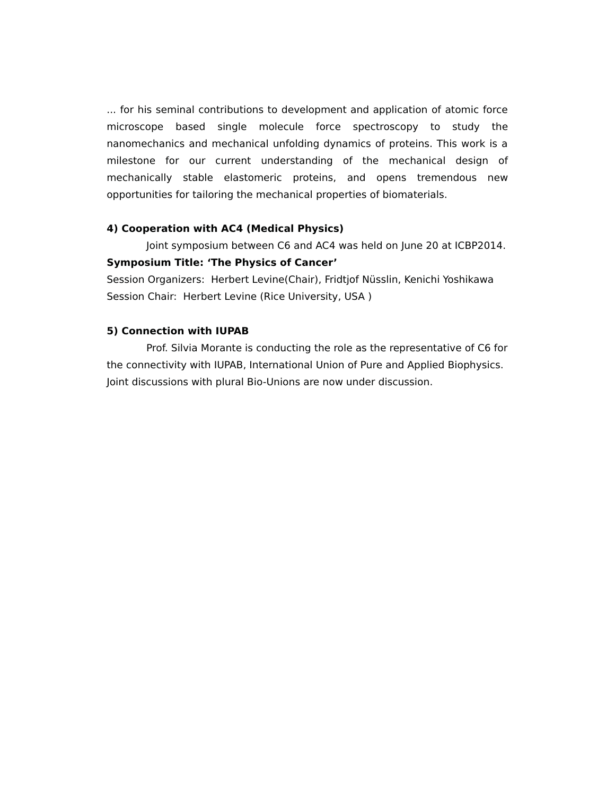... for his seminal contributions to development and application of atomic force microscope based single molecule force spectroscopy to study the nanomechanics and mechanical unfolding dynamics of proteins. This work is a milestone for our current understanding of the mechanical design of mechanically stable elastomeric proteins, and opens tremendous new opportunities for tailoring the mechanical properties of biomaterials.

## 4) Cooperation with AC4 (Medical Physics)

Joint symposium between C6 and AC4 was held on June 20 at ICBP2014.

## **Symposium Title: 'The Physics of Cancer'**

Session Organizers: Herbert Levine(Chair), Fridtjof Nüsslin, Kenichi Yoshikawa Session Chair: Herbert Levine (Rice University, USA)

## 5) Connection with IUPAB

Prof. Silvia Morante is conducting the role as the representative of C6 for the connectivity with IUPAB, International Union of Pure and Applied Biophysics. Joint discussions with plural Bio-Unions are now under discussion.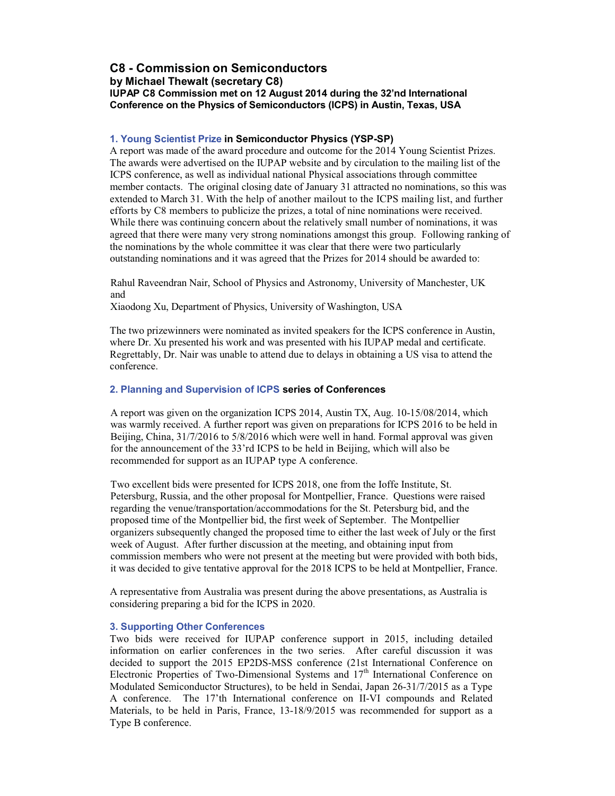## **C8 - Commission on Semiconductors**

**by Michael Thewalt (secretary C8)**

**IUPAP C8 Commission met on 12 August 2014 during the 32'nd International Conference on the Physics of Semiconductors (ICPS) in Austin, Texas, USA**

#### **1. Young Scientist Prize in Semiconductor Physics (YSP-SP)**

A report was made of the award procedure and outcome for the 2014 Young Scientist Prizes. The awards were advertised on the IUPAP website and by circulation to the mailing list of the ICPS conference, as well as individual national Physical associations through committee member contacts. The original closing date of January 31 attracted no nominations, so this was extended to March 31. With the help of another mailout to the ICPS mailing list, and further efforts by C8 members to publicize the prizes, a total of nine nominations were received. While there was continuing concern about the relatively small number of nominations, it was agreed that there were many very strong nominations amongst this group. Following ranking of the nominations by the whole committee it was clear that there were two particularly outstanding nominations and it was agreed that the Prizes for 2014 should be awarded to:

Rahul Raveendran Nair, School of Physics and Astronomy, University of Manchester, UK and

Xiaodong Xu, Department of Physics, University of Washington, USA

The two prizewinners were nominated as invited speakers for the ICPS conference in Austin, where Dr. Xu presented his work and was presented with his IUPAP medal and certificate. Regrettably, Dr. Nair was unable to attend due to delays in obtaining a US visa to attend the conference.

#### **2. Planning and Supervision of ICPS series of Conferences**

A report was given on the organization ICPS 2014, Austin TX, Aug. 10-15/08/2014, which was warmly received. A further report was given on preparations for ICPS 2016 to be held in Beijing, China, 31/7/2016 to 5/8/2016 which were well in hand. Formal approval was given for the announcement of the 33'rd ICPS to be held in Beijing, which will also be recommended for support as an IUPAP type A conference.

Two excellent bids were presented for ICPS 2018, one from the Ioffe Institute, St. Petersburg, Russia, and the other proposal for Montpellier, France. Questions were raised regarding the venue/transportation/accommodations for the St. Petersburg bid, and the proposed time of the Montpellier bid, the first week of September. The Montpellier organizers subsequently changed the proposed time to either the last week of July or the first week of August. After further discussion at the meeting, and obtaining input from commission members who were not present at the meeting but were provided with both bids, it was decided to give tentative approval for the 2018 ICPS to be held at Montpellier, France.

A representative from Australia was present during the above presentations, as Australia is considering preparing a bid for the ICPS in 2020.

#### **3. Supporting Other Conferences**

Two bids were received for IUPAP conference support in 2015, including detailed information on earlier conferences in the two series. After careful discussion it was decided to support the 2015 EP2DS-MSS conference (21st International Conference on Electronic Properties of Two-Dimensional Systems and  $17<sup>th</sup>$  International Conference on Modulated Semiconductor Structures), to be held in Sendai, Japan 26-31/7/2015 as a Type A conference. The 17'th International conference on II-VI compounds and Related Materials, to be held in Paris, France, 13-18/9/2015 was recommended for support as a Type B conference.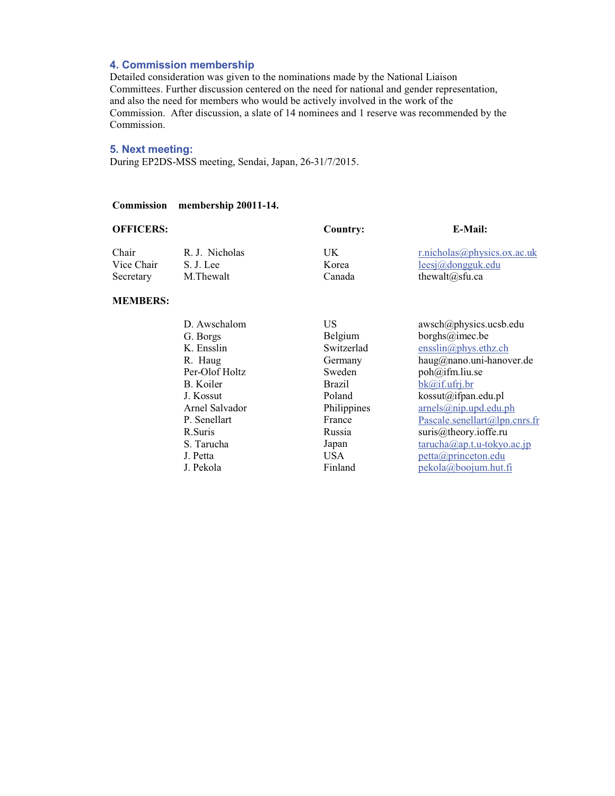### **4. Commission membership**

Detailed consideration was given to the nominations made by the National Liaison Committees. Further discussion centered on the need for national and gender representation, and also the need for members who would be actively involved in the work of the Commission. After discussion, a slate of 14 nominees and 1 reserve was recommended by the Commission.

#### **5. Next meeting:**

During EP2DS-MSS meeting, Sendai, Japan, 26-31/7/2015.

#### **Commission membership 20011-14.**

#### **OFFICERS:**

| Chair      | R. J. Nicholas | UK     | r.nicholas@physics.ox.ac.uk |
|------------|----------------|--------|-----------------------------|
| Vice Chair | S. J. Lee      | Korea  | $leesj(\omega)$ dongguk.edu |
| Secretary  | M.Thewalt      | Canada | thewalt $(a)$ sfu.ca        |

**Country: E-Mail:**

## **MEMBERS:**

| D. Awschalom   | US            | awsch@physics.ucsb.edu                  |
|----------------|---------------|-----------------------------------------|
| G. Borgs       | Belgium       | borghs@imec.be                          |
| K. Ensslin     | Switzerlad    | ensslin@phys.ethz.ch                    |
| R. Haug        | Germany       | haug@nano.uni-hanover.de                |
| Per-Olof Holtz | Sweden        | poh@ifm.liu.se                          |
| B. Koiler      | <b>Brazil</b> | bk@if.ufri.br                           |
| J. Kossut      | Poland        | $kosout(a)$ ifpan.edu.pl                |
| Arnel Salvador | Philippines   | arnels@nip.update.du.ph                 |
| P. Senellart   | France        | Pascale.senellart@lpn.cnrs.fr           |
| R.Suris        | Russia        | suris@theory.ioffe.ru                   |
| S. Tarucha     | Japan         | $tarucha(\partial_a p.t.u-tokyo.ac.jp)$ |
| J. Petta       | <b>USA</b>    | petta@princeton.edu                     |
| J. Pekola      | Finland       | $pekola@boojum.html$ :fi                |
|                |               |                                         |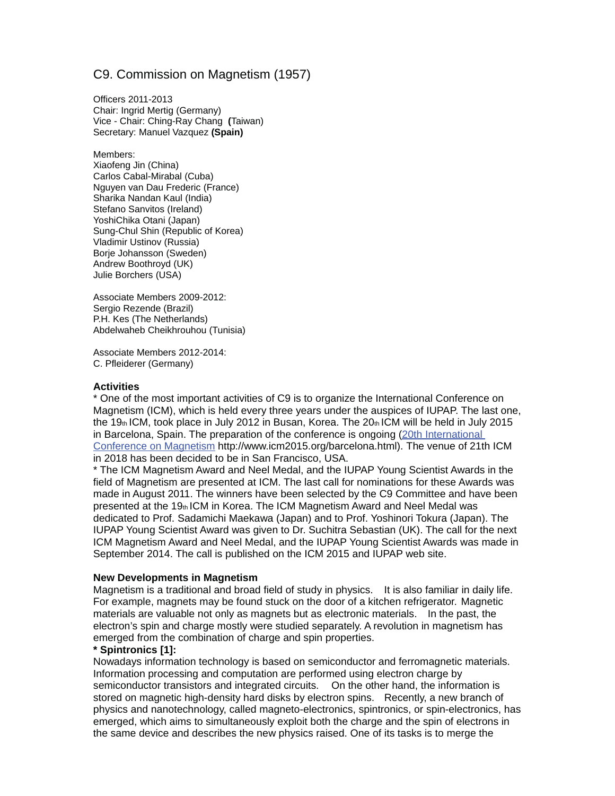## C9. Commission on Magnetism (1957)

Officers 2011-2013 Chair: Ingrid Mertig (Germany) Vice - Chair: Ching-Ray Chang (Taiwan) Secretary: Manuel Vazquez (Spain)

Members: Xiaofeng Jin (China) Carlos Cabal-Mirabal (Cuba) Nguyen van Dau Frederic (France) Sharika Nandan Kaul (India) Stefano Sanvitos (Ireland) YoshiChika Otani (Japan) Sung-Chul Shin (Republic of Korea) Vladimir Ustinov (Russia) Borje Johansson (Sweden) Andrew Boothroyd (UK) Julie Borchers (USA)

Associate Members 2009-2012: Sergio Rezende (Brazil) P.H. Kes (The Netherlands) Abdelwaheb Cheikhrouhou (Tunisia)

Associate Members 2012-2014: C. Pfleiderer (Germany)

#### **Activities**

\* One of the most important activities of C9 is to organize the International Conference on Magnetism (ICM), which is held every three years under the auspices of IUPAP. The last one, the 19th ICM, took place in July 2012 in Busan, Korea. The 20th ICM will be held in July 2015 in Barcelona, Spain. The preparation of the conference is ongoing (20th International Conference on Magnetism http://www.icm2015.org/barcelona.html). The venue of 21th ICM in 2018 has been decided to be in San Francisco, USA.

\* The ICM Magnetism Award and Neel Medal, and the IUPAP Young Scientist Awards in the field of Magnetism are presented at ICM. The last call for nominations for these Awards was made in August 2011. The winners have been selected by the C9 Committee and have been presented at the 19th ICM in Korea. The ICM Magnetism Award and Neel Medal was dedicated to Prof. Sadamichi Maekawa (Japan) and to Prof. Yoshinori Tokura (Japan). The IUPAP Young Scientist Award was given to Dr. Suchitra Sebastian (UK). The call for the next ICM Magnetism Award and Neel Medal, and the IUPAP Young Scientist Awards was made in September 2014. The call is published on the ICM 2015 and IUPAP web site.

#### **New Developments in Magnetism**

Magnetism is a traditional and broad field of study in physics. It is also familiar in daily life. For example, magnets may be found stuck on the door of a kitchen refrigerator. Magnetic materials are valuable not only as magnets but as electronic materials. In the past, the electron's spin and charge mostly were studied separately. A revolution in magnetism has emerged from the combination of charge and spin properties.

#### \* Spintronics [1]:

Nowadays information technology is based on semiconductor and ferromagnetic materials. Information processing and computation are performed using electron charge by semiconductor transistors and integrated circuits. On the other hand, the information is stored on magnetic high-density hard disks by electron spins. Recently, a new branch of physics and nanotechnology, called magneto-electronics, spintronics, or spin-electronics, has emerged, which aims to simultaneously exploit both the charge and the spin of electrons in the same device and describes the new physics raised. One of its tasks is to merge the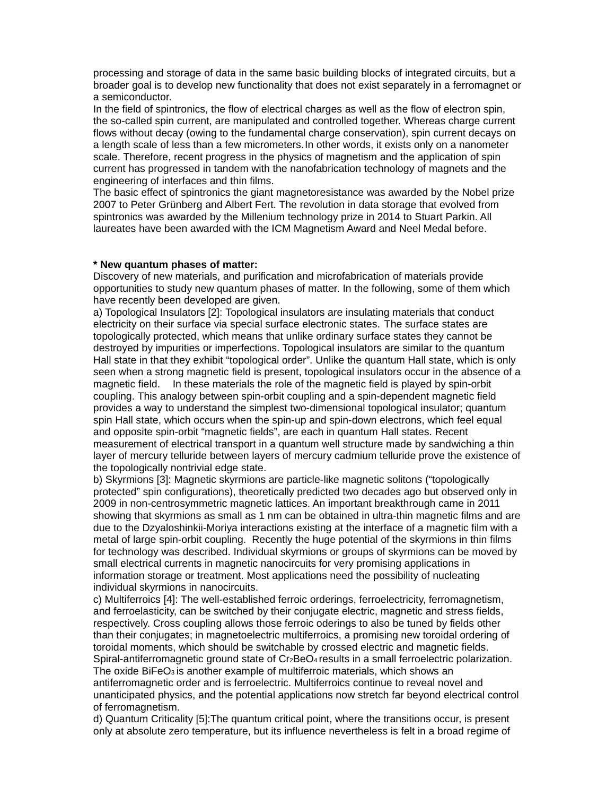processing and storage of data in the same basic building blocks of integrated circuits, but a broader goal is to develop new functionality that does not exist separately in a ferromagnet or a semiconductor.

In the field of spintronics, the flow of electrical charges as well as the flow of electron spin, the so-called spin current, are manipulated and controlled together. Whereas charge current flows without decay (owing to the fundamental charge conservation), spin current decays on a length scale of less than a few micrometers. In other words, it exists only on a nanometer scale. Therefore, recent progress in the physics of magnetism and the application of spin current has progressed in tandem with the nanofabrication technology of magnets and the engineering of interfaces and thin films.

The basic effect of spintronics the giant magnetoresistance was awarded by the Nobel prize 2007 to Peter Grünberg and Albert Fert. The revolution in data storage that evolved from spintronics was awarded by the Millenium technology prize in 2014 to Stuart Parkin. All laureates have been awarded with the ICM Magnetism Award and Neel Medal before.

#### \* New quantum phases of matter:

Discovery of new materials, and purification and microfabrication of materials provide opportunities to study new quantum phases of matter. In the following, some of them which have recently been developed are given.

a) Topological Insulators [2]: Topological insulators are insulating materials that conduct electricity on their surface via special surface electronic states. The surface states are topologically protected, which means that unlike ordinary surface states they cannot be destroyed by impurities or imperfections. Topological insulators are similar to the quantum Hall state in that they exhibit "topological order". Unlike the quantum Hall state, which is only seen when a strong magnetic field is present, topological insulators occur in the absence of a magnetic field. In these materials the role of the magnetic field is played by spin-orbit coupling. This analogy between spin-orbit coupling and a spin-dependent magnetic field provides a way to understand the simplest two-dimensional topological insulator; quantum spin Hall state, which occurs when the spin-up and spin-down electrons, which feel equal and opposite spin-orbit "magnetic fields", are each in quantum Hall states. Recent measurement of electrical transport in a quantum well structure made by sandwiching a thin layer of mercury telluride between layers of mercury cadmium telluride prove the existence of the topologically nontrivial edge state.

b) Skyrmions [3]: Magnetic skyrmions are particle-like magnetic solitons ("topologically protected" spin configurations), theoretically predicted two decades ago but observed only in 2009 in non-centrosymmetric magnetic lattices. An important breakthrough came in 2011 showing that skyrmions as small as 1 nm can be obtained in ultra-thin magnetic films and are due to the Dzyaloshinkii-Moriya interactions existing at the interface of a magnetic film with a metal of large spin-orbit coupling. Recently the huge potential of the skyrmions in thin films for technology was described. Individual skyrmions or groups of skyrmions can be moved by small electrical currents in magnetic nanocircuits for very promising applications in information storage or treatment. Most applications need the possibility of nucleating individual skyrmions in nanocircuits.

c) Multiferroics [4]: The well-established ferroic orderings, ferroelectricity, ferromagnetism. and ferroelasticity, can be switched by their conjugate electric, magnetic and stress fields, respectively. Cross coupling allows those ferroic oderings to also be tuned by fields other than their conjugates; in magnetoelectric multiferroics, a promising new toroidal ordering of toroidal moments, which should be switchable by crossed electric and magnetic fields. Spiral-antiferromagnetic ground state of Cr<sub>2</sub>BeO<sub>4</sub> results in a small ferroelectric polarization. The oxide BiFeO<sub>3</sub> is another example of multiferroic materials, which shows an

antiferromagnetic order and is ferroelectric. Multiferroics continue to reveal novel and unanticipated physics, and the potential applications now stretch far beyond electrical control of ferromagnetism.

d) Quantum Criticality [5]: The quantum critical point, where the transitions occur, is present only at absolute zero temperature, but its influence nevertheless is felt in a broad regime of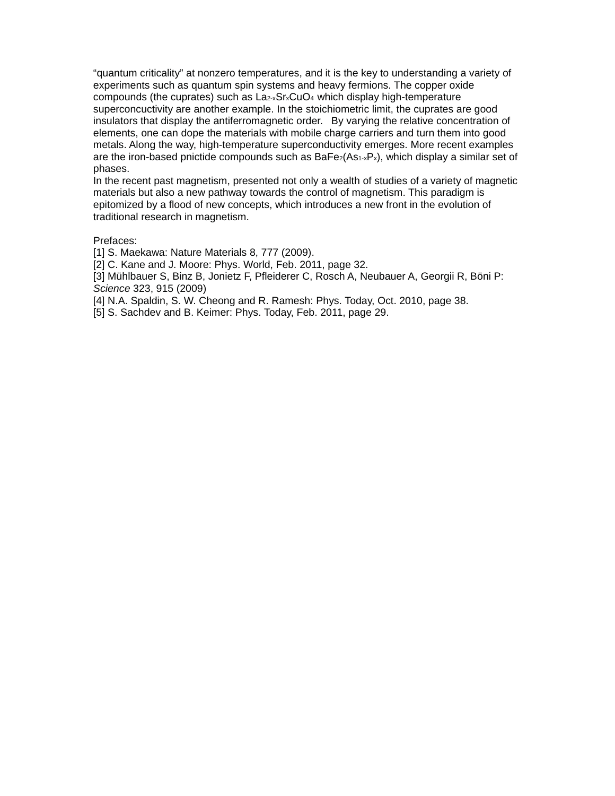"quantum criticality" at nonzero temperatures, and it is the key to understanding a variety of experiments such as quantum spin systems and heavy fermions. The copper oxide compounds (the cuprates) such as La2-xSrxCuO4 which display high-temperature superconcuctivity are another example. In the stoichiometric limit, the cuprates are good insulators that display the antiferromagnetic order. By varying the relative concentration of elements, one can dope the materials with mobile charge carriers and turn them into good metals. Along the way, high-temperature superconductivity emerges. More recent examples are the iron-based pnictide compounds such as  $BaFe<sub>2</sub>(As<sub>1-x</sub>P<sub>x</sub>)$ , which display a similar set of phases.

In the recent past magnetism, presented not only a wealth of studies of a variety of magnetic materials but also a new pathway towards the control of magnetism. This paradigm is epitomized by a flood of new concepts, which introduces a new front in the evolution of traditional research in magnetism.

Prefaces:

[1] S. Maekawa: Nature Materials 8, 777 (2009).

[2] C. Kane and J. Moore: Phys. World, Feb. 2011, page 32.

[3] Mühlbauer S, Binz B, Jonietz F, Pfleiderer C, Rosch A, Neubauer A, Georgii R, Böni P: Science 323, 915 (2009)

[4] N.A. Spaldin, S. W. Cheong and R. Ramesh: Phys. Today, Oct. 2010, page 38.

[5] S. Sachdev and B. Keimer: Phys. Today, Feb. 2011, page 29.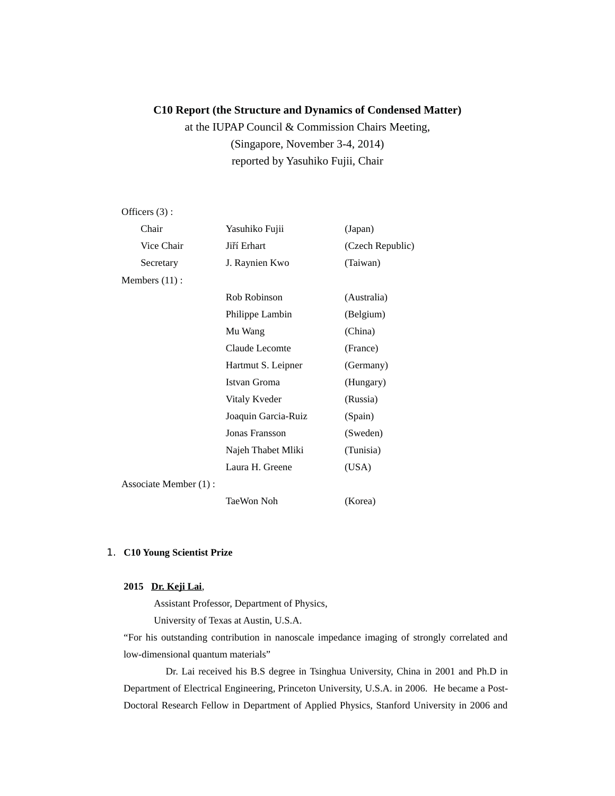## **C10 Report (the Structure and Dynamics of Condensed Matter)**

at the IUPAP Council & Commission Chairs Meeting, (Singapore, November 3-4, 2014) reported by Yasuhiko Fujii, Chair

| Officers (3):         |                     |                  |
|-----------------------|---------------------|------------------|
| Chair                 | Yasuhiko Fujii      | (Japan)          |
| Vice Chair            | Jiří Erhart         | (Czech Republic) |
| Secretary             | J. Raynien Kwo      | (Taiwan)         |
| Members $(11)$ :      |                     |                  |
|                       | Rob Robinson        | (Australia)      |
|                       | Philippe Lambin     | (Belgium)        |
|                       | Mu Wang             | (China)          |
|                       | Claude Lecomte      | (France)         |
|                       | Hartmut S. Leipner  | (Germany)        |
|                       | <b>Istvan Groma</b> | (Hungary)        |
|                       | Vitaly Kveder       | (Russia)         |
|                       | Joaquin Garcia-Ruiz | (Spain)          |
|                       | Jonas Fransson      | (Sweden)         |
|                       | Najeh Thabet Mliki  | (Tunisia)        |
|                       | Laura H. Greene     | (USA)            |
| Associate Member (1): |                     |                  |
|                       | TaeWon Noh          | (Korea)          |

## 1. C10 Young Scientist Prize

#### 2015 Dr. Keji Lai,

Assistant Professor, Department of Physics,

University of Texas at Austin, U.S.A.

"For his outstanding contribution in nanoscale impedance imaging of strongly correlated and low-dimensional quantum materials"

Dr. Lai received his B.S degree in Tsinghua University, China in 2001 and Ph.D in Department of Electrical Engineering, Princeton University, U.S.A. in 2006. He became a Post-Doctoral Research Fellow in Department of Applied Physics, Stanford University in 2006 and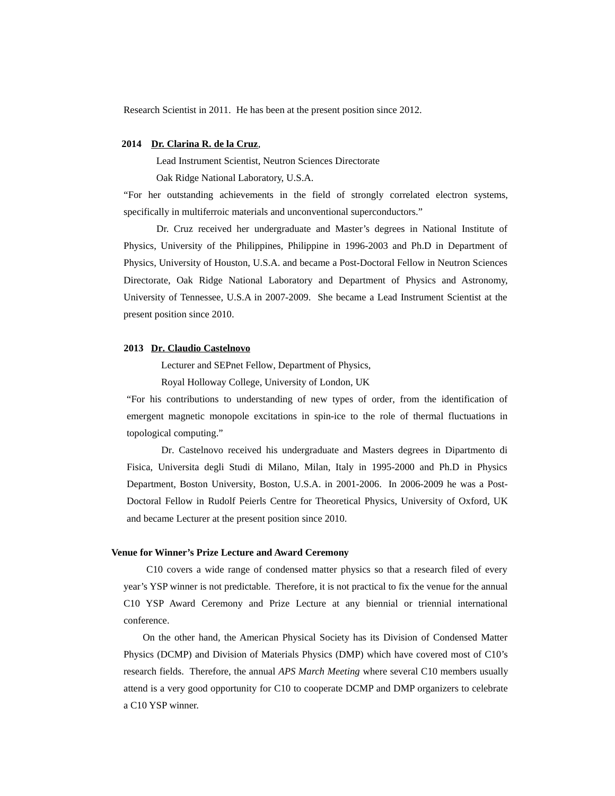Research Scientist in 2011. He has been at the present position since 2012.

#### 2014 Dr. Clarina R. de la Cruz,

Lead Instrument Scientist, Neutron Sciences Directorate

Oak Ridge National Laboratory, U.S.A.

"For her outstanding achievements in the field of strongly correlated electron systems, specifically in multiferroic materials and unconventional superconductors."

Dr. Cruz received her undergraduate and Master's degrees in National Institute of Physics, University of the Philippines, Philippine in 1996-2003 and Ph.D in Department of Physics, University of Houston, U.S.A. and became a Post-Doctoral Fellow in Neutron Sciences Directorate, Oak Ridge National Laboratory and Department of Physics and Astronomy, University of Tennessee, U.S.A in 2007-2009. She became a Lead Instrument Scientist at the present position since 2010.

#### 2013 Dr. Claudio Castelnovo

Lecturer and SEPnet Fellow, Department of Physics,

Royal Holloway College, University of London, UK

"For his contributions to understanding of new types of order, from the identification of emergent magnetic monopole excitations in spin-ice to the role of thermal fluctuations in topological computing."

Dr. Castelnovo received his undergraduate and Masters degrees in Dipartmento di Fisica, Universita degli Studi di Milano, Milan, Italy in 1995-2000 and Ph.D in Physics Department, Boston University, Boston, U.S.A. in 2001-2006. In 2006-2009 he was a Post-Doctoral Fellow in Rudolf Peierls Centre for Theoretical Physics, University of Oxford, UK and became Lecturer at the present position since 2010.

#### **Venue for Winner's Prize Lecture and Award Ceremony**

C10 covers a wide range of condensed matter physics so that a research filed of every year's YSP winner is not predictable. Therefore, it is not practical to fix the venue for the annual C10 YSP Award Ceremony and Prize Lecture at any biennial or triennial international conference.

On the other hand, the American Physical Society has its Division of Condensed Matter Physics (DCMP) and Division of Materials Physics (DMP) which have covered most of C10's research fields. Therefore, the annual APS March Meeting where several C10 members usually attend is a very good opportunity for C10 to cooperate DCMP and DMP organizers to celebrate a C10 YSP winner.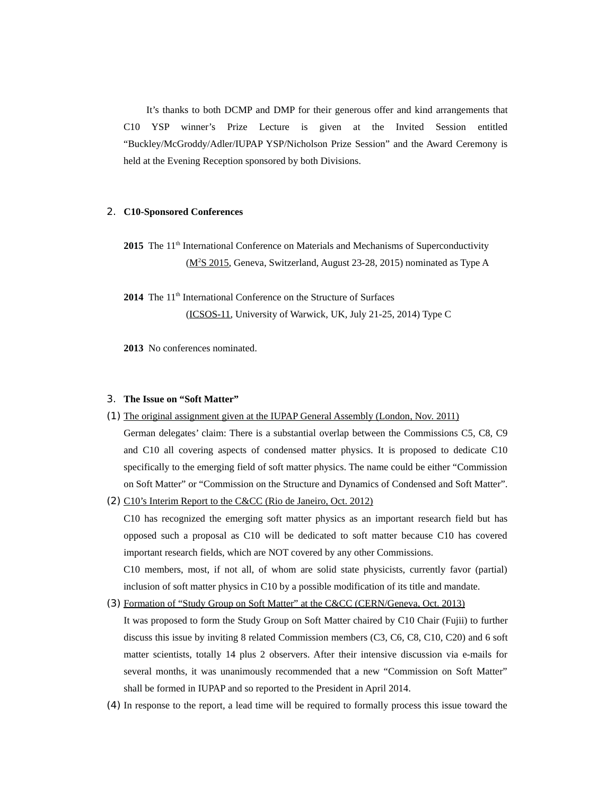It's thanks to both DCMP and DMP for their generous offer and kind arrangements that C10 YSP winner's Prize Lecture is given at the Invited Session entitled "Buckley/McGroddy/Adler/IUPAP YSP/Nicholson Prize Session" and the Award Ceremony is held at the Evening Reception sponsored by both Divisions.

#### 2. C10-Sponsored Conferences

- **2015** The  $11<sup>th</sup>$  International Conference on Materials and Mechanisms of Superconductivity  $(M<sup>2</sup>S 2015$ , Geneva, Switzerland, August 23-28, 2015) nominated as Type A
- 2014 The 11<sup>th</sup> International Conference on the Structure of Surfaces (ICSOS-11, University of Warwick, UK, July 21-25, 2014) Type C

2013 No conferences nominated.

#### 3. The Issue on "Soft Matter"

(1) The original assignment given at the IUPAP General Assembly (London, Nov. 2011)

German delegates' claim: There is a substantial overlap between the Commissions C5, C8, C9 and C10 all covering aspects of condensed matter physics. It is proposed to dedicate C10 specifically to the emerging field of soft matter physics. The name could be either "Commission on Soft Matter" or "Commission on the Structure and Dynamics of Condensed and Soft Matter".

(2) C10's Interim Report to the C&CC (Rio de Janeiro, Oct. 2012)

C10 has recognized the emerging soft matter physics as an important research field but has opposed such a proposal as C10 will be dedicated to soft matter because C10 has covered important research fields, which are NOT covered by any other Commissions.

C10 members, most, if not all, of whom are solid state physicists, currently favor (partial) inclusion of soft matter physics in C10 by a possible modification of its title and mandate.

- (3) Formation of "Study Group on Soft Matter" at the C&CC (CERN/Geneva, Oct. 2013) It was proposed to form the Study Group on Soft Matter chaired by C10 Chair (Fujii) to further discuss this issue by inviting 8 related Commission members (C3, C6, C8, C10, C20) and 6 soft matter scientists, totally 14 plus 2 observers. After their intensive discussion via e-mails for several months, it was unanimously recommended that a new "Commission on Soft Matter" shall be formed in IUPAP and so reported to the President in April 2014.
- (4) In response to the report, a lead time will be required to formally process this issue toward the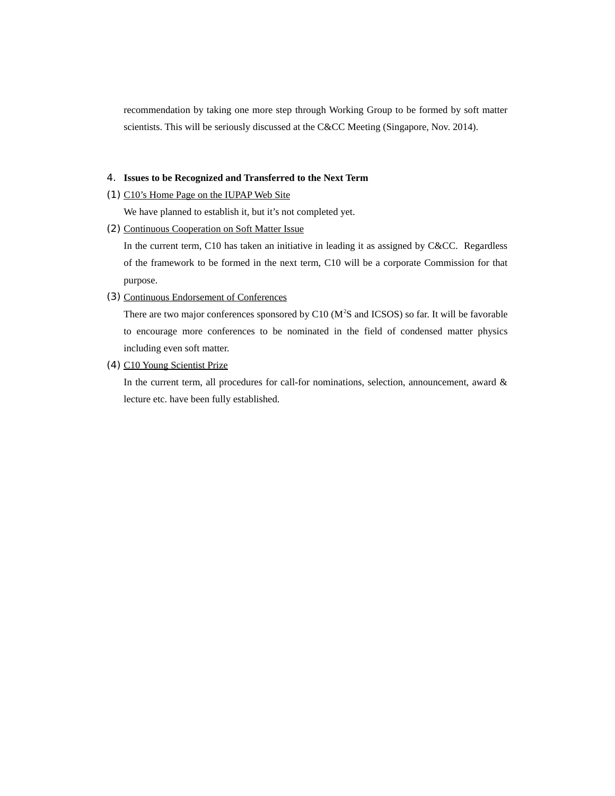recommendation by taking one more step through Working Group to be formed by soft matter scientists. This will be seriously discussed at the C&CC Meeting (Singapore, Nov. 2014).

#### 4. Issues to be Recognized and Transferred to the Next Term

#### (1) C10's Home Page on the IUPAP Web Site

We have planned to establish it, but it's not completed yet.

#### (2) Continuous Cooperation on Soft Matter Issue

In the current term, C10 has taken an initiative in leading it as assigned by C&CC. Regardless of the framework to be formed in the next term, C10 will be a corporate Commission for that purpose.

#### (3) Continuous Endorsement of Conferences

There are two major conferences sponsored by C10 (M<sup>2</sup>S and ICSOS) so far. It will be favorable to encourage more conferences to be nominated in the field of condensed matter physics including even soft matter.

#### (4) C10 Young Scientist Prize

In the current term, all procedures for call-for nominations, selection, announcement, award & lecture etc. have been fully established.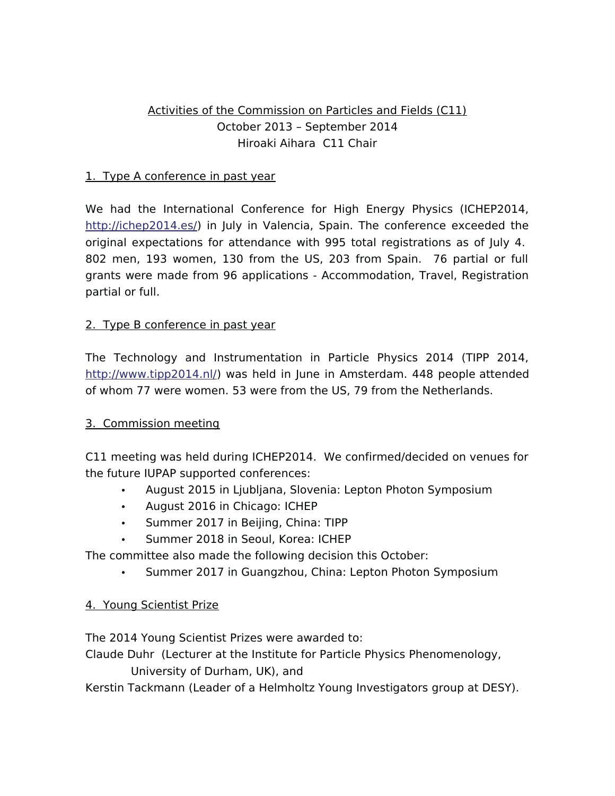## Activities of the Commission on Particles and Fields (C11) October 2013 - September 2014 Hiroaki Aihara C11 Chair

### 1. Type A conference in past year

We had the International Conference for High Energy Physics (ICHEP2014, http://ichep2014.es/) in July in Valencia, Spain. The conference exceeded the original expectations for attendance with 995 total registrations as of July 4. 802 men, 193 women, 130 from the US, 203 from Spain. 76 partial or full grants were made from 96 applications - Accommodation, Travel, Registration partial or full.

### 2. Type B conference in past year

The Technology and Instrumentation in Particle Physics 2014 (TIPP 2014, http://www.tipp2014.nl/) was held in June in Amsterdam. 448 people attended of whom 77 were women. 53 were from the US, 79 from the Netherlands.

### 3. Commission meeting

C11 meeting was held during ICHEP2014. We confirmed/decided on venues for the future IUPAP supported conferences:

- August 2015 in Ljubljana, Slovenia: Lepton Photon Symposium
- August 2016 in Chicago: ICHEP
- Summer 2017 in Beijing, China: TIPP
- Summer 2018 in Seoul, Korea: ICHEP

The committee also made the following decision this October:

Summer 2017 in Guangzhou, China: Lepton Photon Symposium

### 4. Young Scientist Prize

The 2014 Young Scientist Prizes were awarded to:

Claude Duhr (Lecturer at the Institute for Particle Physics Phenomenology, University of Durham, UK), and

Kerstin Tackmann (Leader of a Helmholtz Young Investigators group at DESY).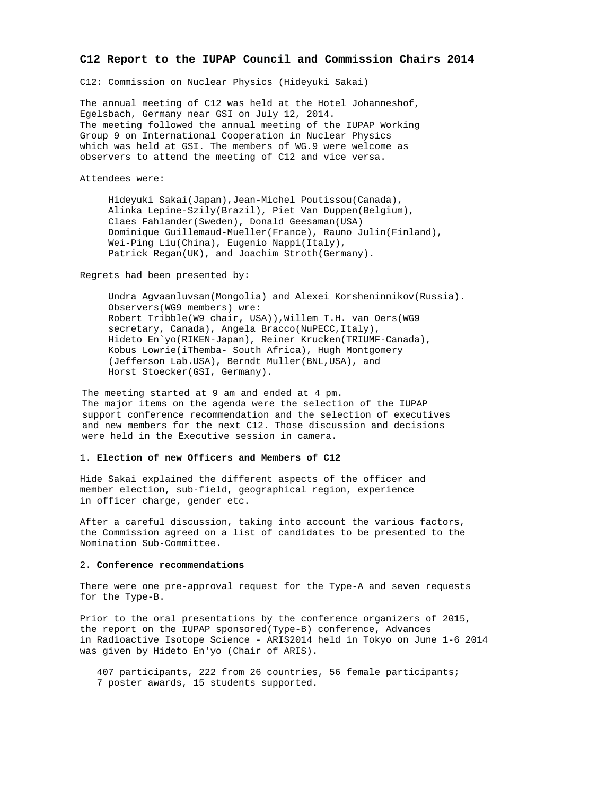#### C12 Report to the IUPAP Council and Commission Chairs 2014

C12: Commission on Nuclear Physics (Hideyuki Sakai)

The annual meeting of C12 was held at the Hotel Johanneshof, Egelsbach, Germany near GSI on July 12, 2014. The meeting followed the annual meeting of the IUPAP Working Group 9 on International Cooperation in Nuclear Physics which was held at GSI. The members of WG.9 were welcome as observers to attend the meeting of C12 and vice versa.

Attendees were:

Hideyuki Sakai(Japan), Jean-Michel Poutissou(Canada), Alinka Lepine-Szily(Brazil), Piet Van Duppen(Belgium), Claes Fahlander (Sweden), Donald Geesaman (USA) Dominique Guillemaud-Mueller(France), Rauno Julin(Finland), Wei-Ping Liu(China), Eugenio Nappi(Italy), Patrick Regan(UK), and Joachim Stroth(Germany).

Regrets had been presented by:

Undra Agvaanluvsan(Mongolia) and Alexei Korsheninnikov(Russia). Observers(WG9 members) wre: Robert Tribble(W9 chair, USA)), Willem T.H. van Oers(WG9 secretary, Canada), Angela Bracco(NuPECC, Italy), Hideto En yo (RIKEN-Japan), Reiner Krucken (TRIUMF-Canada), Kobus Lowrie (iThemba- South Africa), Hugh Montgomery (Jefferson Lab.USA), Berndt Muller(BNL,USA), and Horst Stoecker(GSI, Germany).

The meeting started at 9 am and ended at 4 pm. The major items on the agenda were the selection of the IUPAP support conference recommendation and the selection of executives and new members for the next C12. Those discussion and decisions were held in the Executive session in camera.

#### 1. Election of new Officers and Members of C12

Hide Sakai explained the different aspects of the officer and member election, sub-field, geographical region, experience in officer charge, gender etc.

After a careful discussion, taking into account the various factors, the Commission agreed on a list of candidates to be presented to the Nomination Sub-Committee.

#### 2. Conference recommendations

There were one pre-approval request for the Type-A and seven requests for the Type-B.

Prior to the oral presentations by the conference organizers of 2015, the report on the IUPAP sponsored (Type-B) conference, Advances in Radioactive Isotope Science - ARIS2014 held in Tokyo on June 1-6 2014 was given by Hideto En'yo (Chair of ARIS).

407 participants, 222 from 26 countries, 56 female participants; 7 poster awards, 15 students supported.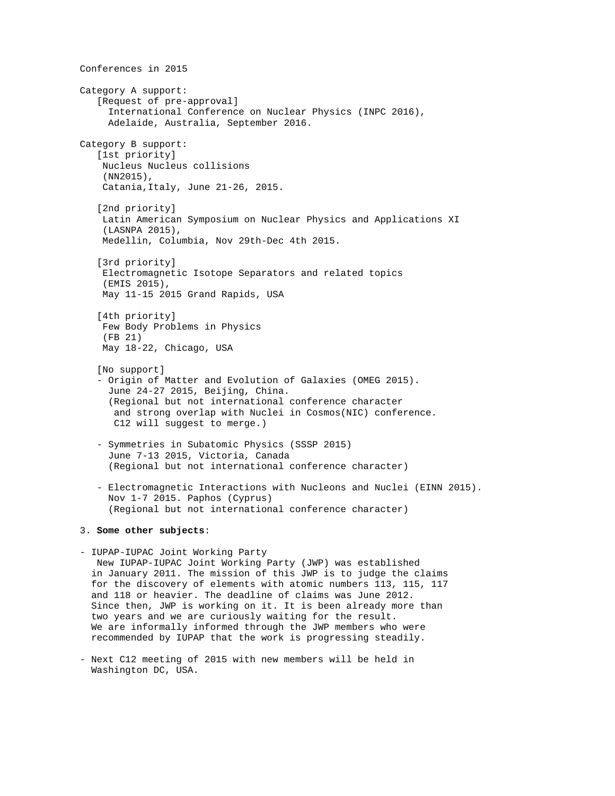Conferences in 2015 Category A support: [Request of pre-approval] International Conference on Nuclear Physics (INPC 2016), Adelaide, Australia, September 2016. Category B support: [1st priority] Nucleus Nucleus collisions  $(NN2015)$ , Catania, Italy, June 21-26, 2015. [2nd priority] Latin American Symposium on Nuclear Physics and Applications XI (LASNPA 2015), Medellin, Columbia, Nov 29th-Dec 4th 2015. [3rd priority] Electromagnetic Isotope Separators and related topics (EMIS 2015), May 11-15 2015 Grand Rapids, USA [4th priority] Few Body Problems in Physics  $(FB 21)$ May 18-22, Chicago, USA [No support] - Origin of Matter and Evolution of Galaxies (OMEG 2015). June 24-27 2015, Beijing, China. (Regional but not international conference character and strong overlap with Nuclei in Cosmos(NIC) conference. C12 will suggest to merge.) - Symmetries in Subatomic Physics (SSSP 2015) June 7-13 2015, Victoria, Canada (Regional but not international conference character) - Electromagnetic Interactions with Nucleons and Nuclei (EINN 2015). Nov 1-7 2015. Paphos (Cyprus) (Regional but not international conference character) 3. Some other subjects: - IUPAP-IUPAC Joint Working Party New IUPAP-IUPAC Joint Working Party (JWP) was established

in January 2011. The mission of this JWP is to judge the claims for the discovery of elements with atomic numbers 113, 115, 117 and 118 or heavier. The deadline of claims was June 2012. Since then, JWP is working on it. It is been already more than two years and we are curiously waiting for the result. We are informally informed through the JWP members who were recommended by IUPAP that the work is progressing steadily.

- Next C12 meeting of 2015 with new members will be held in Washington DC, USA.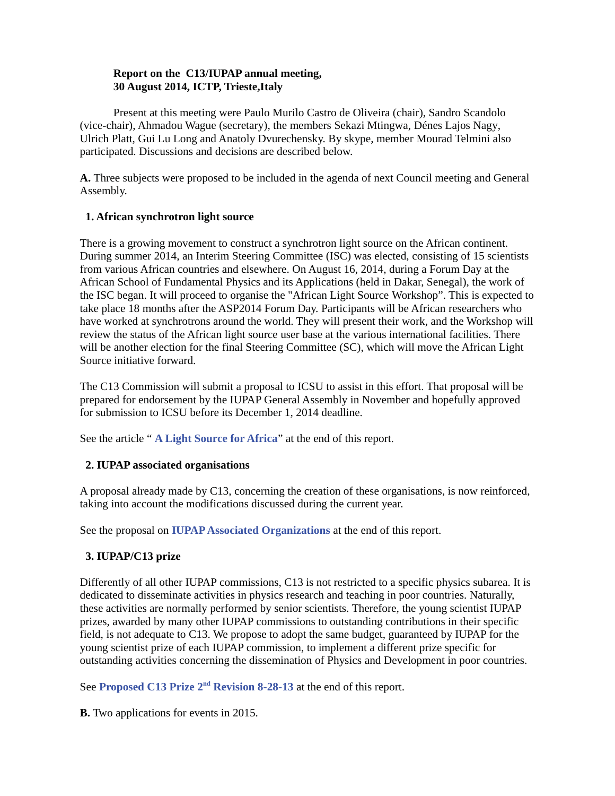#### Report on the C13/IUPAP annual meeting, 30 August 2014, ICTP, Trieste, Italy

Present at this meeting were Paulo Murilo Castro de Oliveira (chair), Sandro Scandolo (vice-chair), Ahmadou Wague (secretary), the members Sekazi Mtingwa, Dénes Lajos Nagy, Ulrich Platt, Gui Lu Long and Anatoly Dyurechensky. By skype, member Mourad Telmini also participated. Discussions and decisions are described below.

A. Three subjects were proposed to be included in the agenda of next Council meeting and General Assembly.

#### 1. African synchrotron light source

There is a growing movement to construct a synchrotron light source on the African continent. During summer 2014, an Interim Steering Committee (ISC) was elected, consisting of 15 scientists from various African countries and elsewhere. On August 16, 2014, during a Forum Day at the African School of Fundamental Physics and its Applications (held in Dakar, Senegal), the work of the ISC began. It will proceed to organise the "African Light Source Workshop". This is expected to take place 18 months after the ASP2014 Forum Day. Participants will be African researchers who have worked at synchrotrons around the world. They will present their work, and the Workshop will review the status of the African light source user base at the various international facilities. There will be another election for the final Steering Committee (SC), which will move the African Light Source initiative forward.

The C13 Commission will submit a proposal to ICSU to assist in this effort. That proposal will be prepared for endorsement by the IUPAP General Assembly in November and hopefully approved for submission to ICSU before its December 1, 2014 deadline.

See the article "A Light Source for Africa" at the end of this report.

### 2. IUPAP associated organisations

A proposal already made by C13, concerning the creation of these organisations, is now reinforced, taking into account the modifications discussed during the current year.

See the proposal on **IUPAP** Associated Organizations at the end of this report.

### 3. IUPAP/C13 prize

Differently of all other IUPAP commissions, C13 is not restricted to a specific physics subarea. It is dedicated to disseminate activities in physics research and teaching in poor countries. Naturally, these activities are normally performed by senior scientists. Therefore, the young scientist IUPAP prizes, awarded by many other IUPAP commissions to outstanding contributions in their specific field, is not adequate to C13. We propose to adopt the same budget, guaranteed by IUPAP for the young scientist prize of each IUPAP commission, to implement a different prize specific for outstanding activities concerning the dissemination of Physics and Development in poor countries.

See Proposed C13 Prize 2<sup>nd</sup> Revision 8-28-13 at the end of this report.

**B.** Two applications for events in 2015.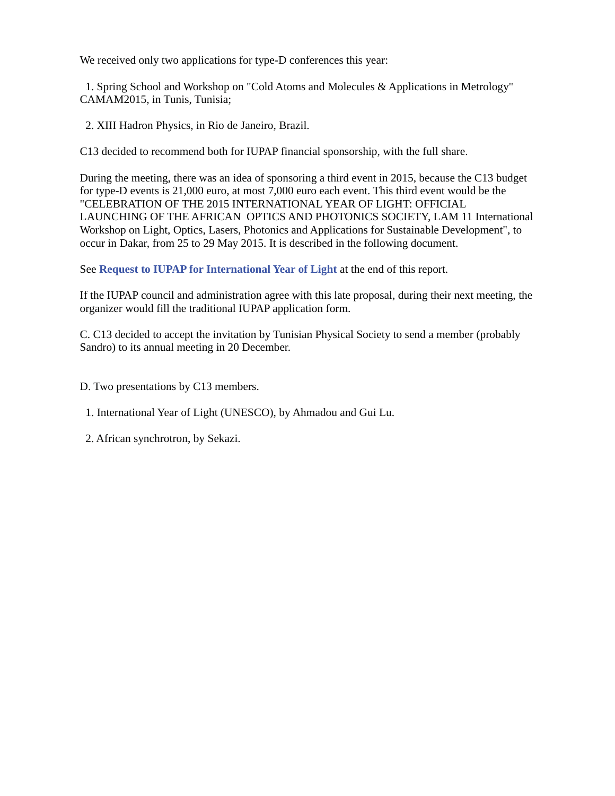We received only two applications for type-D conferences this year:

1. Spring School and Workshop on "Cold Atoms and Molecules & Applications in Metrology" CAMAM2015, in Tunis, Tunisia;

2. XIII Hadron Physics, in Rio de Janeiro, Brazil.

C13 decided to recommend both for IUPAP financial sponsorship, with the full share.

During the meeting, there was an idea of sponsoring a third event in 2015, because the C13 budget for type-D events is 21,000 euro, at most 7,000 euro each event. This third event would be the "CELEBRATION OF THE 2015 INTERNATIONAL YEAR OF LIGHT: OFFICIAL LAUNCHING OF THE AFRICAN OPTICS AND PHOTONICS SOCIETY, LAM 11 International Workshop on Light, Optics, Lasers, Photonics and Applications for Sustainable Development", to occur in Dakar, from 25 to 29 May 2015. It is described in the following document.

See Request to IUPAP for International Year of Light at the end of this report.

If the IUPAP council and administration agree with this late proposal, during their next meeting, the organizer would fill the traditional IUPAP application form.

C. C13 decided to accept the invitation by Tunisian Physical Society to send a member (probably Sandro) to its annual meeting in 20 December.

D. Two presentations by C13 members.

- 1. International Year of Light (UNESCO), by Ahmadou and Gui Lu.
- 2. African synchrotron, by Sekazi.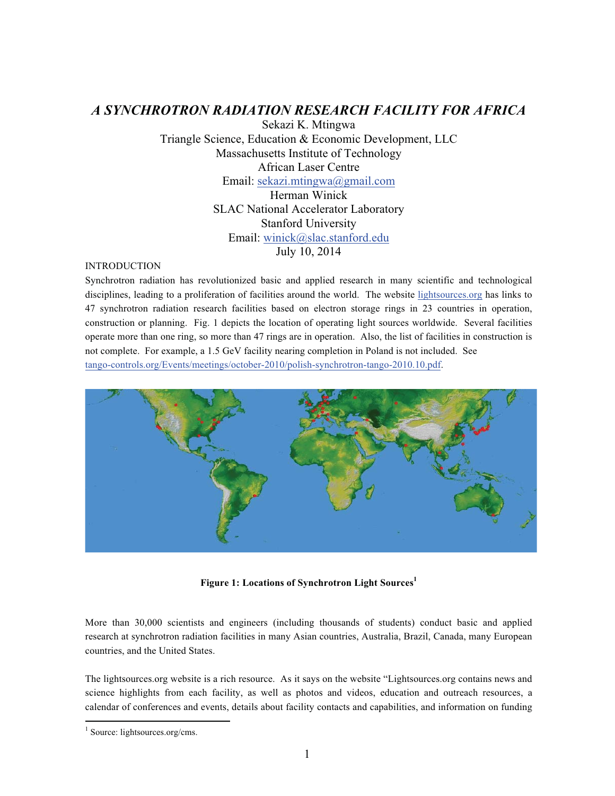## *A SYNCHROTRON RADIATION RESEARCH FACILITY FOR AFRICA*

Sekazi K. Mtingwa Triangle Science, Education & Economic Development, LLC Massachusetts Institute of Technology African Laser Centre Email: sekazi.mtingwa@gmail.com Herman Winick SLAC National Accelerator Laboratory Stanford University Email: winick@slac.stanford.edu July 10, 2014

#### INTRODUCTION

Synchrotron radiation has revolutionized basic and applied research in many scientific and technological disciplines, leading to a proliferation of facilities around the world. The website lightsources.org has links to 47 synchrotron radiation research facilities based on electron storage rings in 23 countries in operation, construction or planning. Fig. 1 depicts the location of operating light sources worldwide. Several facilities operate more than one ring, so more than 47 rings are in operation. Also, the list of facilities in construction is not complete. For example, a 1.5 GeV facility nearing completion in Poland is not included. See tango-controls.org/Events/meetings/october-2010/polish-synchrotron-tango-2010.10.pdf.



**Figure 1: Locations of Synchrotron Light Sources<sup>1</sup>**

More than 30,000 scientists and engineers (including thousands of students) conduct basic and applied research at synchrotron radiation facilities in many Asian countries, Australia, Brazil, Canada, many European countries, and the United States.

The lightsources.org website is a rich resource. As it says on the website "Lightsources.org contains news and science highlights from each facility, as well as photos and videos, education and outreach resources, a calendar of conferences and events, details about facility contacts and capabilities, and information on funding

-----------------------------------

--------------------

<sup>-</sup>-----<sup>1</sup> Source: lightsources.org/cms.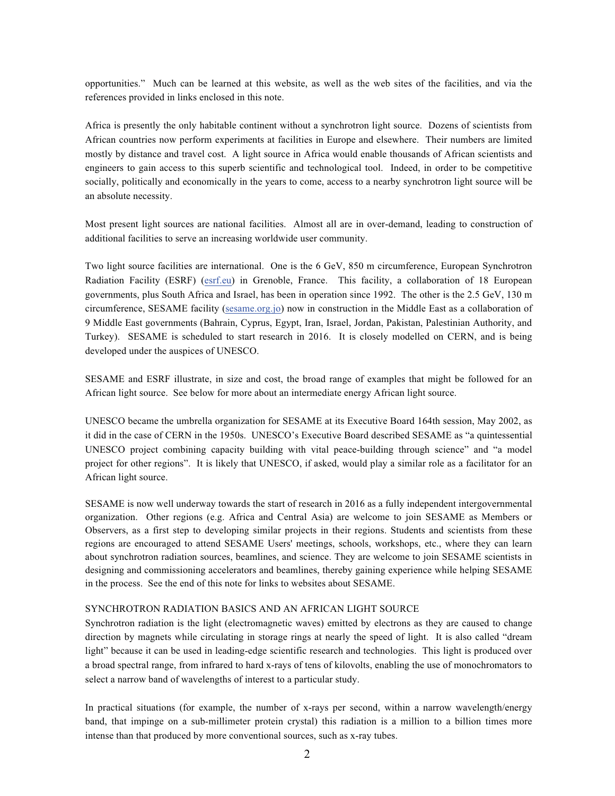opportunities." Much can be learned at this website, as well as the web sites of the facilities, and via the references provided in links enclosed in this note.

Africa is presently the only habitable continent without a synchrotron light source. Dozens of scientists from African countries now perform experiments at facilities in Europe and elsewhere. Their numbers are limited mostly by distance and travel cost. A light source in Africa would enable thousands of African scientists and engineers to gain access to this superb scientific and technological tool. Indeed, in order to be competitive socially, politically and economically in the years to come, access to a nearby synchrotron light source will be an absolute necessity.

Most present light sources are national facilities. Almost all are in over-demand, leading to construction of additional facilities to serve an increasing worldwide user community.

Two light source facilities are international. One is the 6 GeV, 850 m circumference, European Synchrotron Radiation Facility (ESRF) (esrf.eu) in Grenoble, France. This facility, a collaboration of 18 European governments, plus South Africa and Israel, has been in operation since 1992. The other is the 2.5 GeV, 130 m circumference, SESAME facility (sesame.org.jo) now in construction in the Middle East as a collaboration of 9 Middle East governments (Bahrain, Cyprus, Egypt, Iran, Israel, Jordan, Pakistan, Palestinian Authority, and Turkey). SESAME is scheduled to start research in 2016. It is closely modelled on CERN, and is being developed under the auspices of UNESCO.

SESAME and ESRF illustrate, in size and cost, the broad range of examples that might be followed for an African light source. See below for more about an intermediate energy African light source.

UNESCO became the umbrella organization for SESAME at its Executive Board 164th session, May 2002, as it did in the case of CERN in the 1950s. UNESCO's Executive Board described SESAME as "a quintessential UNESCO project combining capacity building with vital peace-building through science" and "a model project for other regions". It is likely that UNESCO, if asked, would play a similar role as a facilitator for an African light source.

SESAME is now well underway towards the start of research in 2016 as a fully independent intergovernmental organization. Other regions (e.g. Africa and Central Asia) are welcome to join SESAME as Members or Observers, as a first step to developing similar projects in their regions. Students and scientists from these regions are encouraged to attend SESAME Users' meetings, schools, workshops, etc., where they can learn about synchrotron radiation sources, beamlines, and science. They are welcome to join SESAME scientists in designing and commissioning accelerators and beamlines, thereby gaining experience while helping SESAME in the process. See the end of this note for links to websites about SESAME.

#### SYNCHROTRON RADIATION BASICS AND AN AFRICAN LIGHT SOURCE

Synchrotron radiation is the light (electromagnetic waves) emitted by electrons as they are caused to change direction by magnets while circulating in storage rings at nearly the speed of light. It is also called "dream light" because it can be used in leading-edge scientific research and technologies. This light is produced over a broad spectral range, from infrared to hard x-rays of tens of kilovolts, enabling the use of monochromators to select a narrow band of wavelengths of interest to a particular study.

In practical situations (for example, the number of x-rays per second, within a narrow wavelength/energy band, that impinge on a sub-millimeter protein crystal) this radiation is a million to a billion times more intense than that produced by more conventional sources, such as x-ray tubes.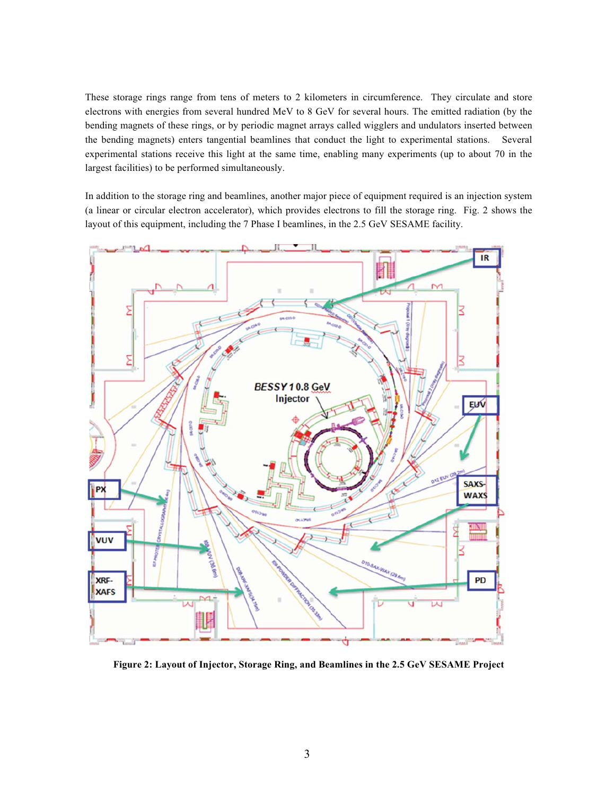These storage rings range from tens of meters to 2 kilometers in circumference. They circulate and store electrons with energies from several hundred MeV to 8 GeV for several hours. The emitted radiation (by the bending magnets of these rings, or by periodic magnet arrays called wigglers and undulators inserted between the bending magnets) enters tangential beamlines that conduct the light to experimental stations. Several experimental stations receive this light at the same time, enabling many experiments (up to about 70 in the largest facilities) to be performed simultaneously.

In addition to the storage ring and beamlines, another major piece of equipment required is an injection system (a linear or circular electron accelerator), which provides electrons to fill the storage ring. Fig. 2 shows the layout of this equipment, including the 7 Phase I beamlines, in the 2.5 GeV SESAME facility.



**Figure 2: Layout of Injector, Storage Ring, and Beamlines in the 2.5 GeV SESAME Project**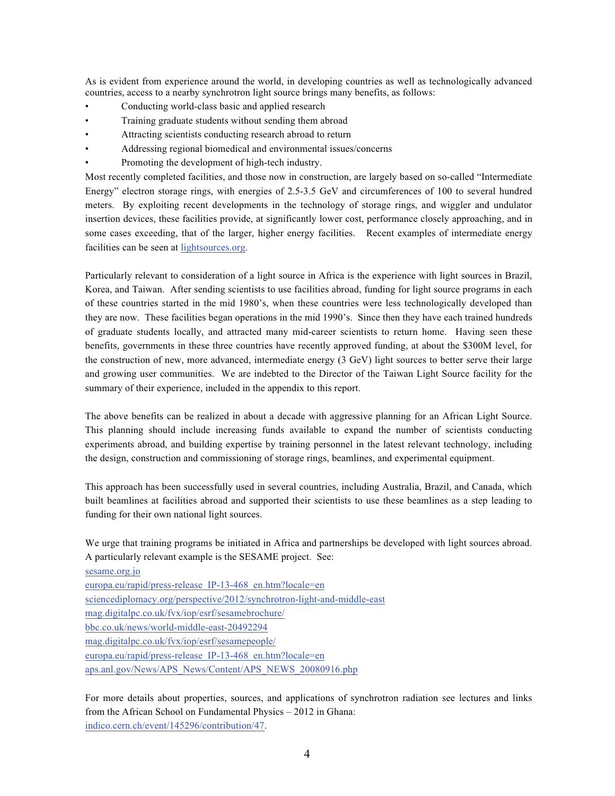As is evident from experience around the world, in developing countries as well as technologically advanced countries, access to a nearby synchrotron light source brings many benefits, as follows:

- Conducting world-class basic and applied research
- Training graduate students without sending them abroad
- Attracting scientists conducting research abroad to return
- Addressing regional biomedical and environmental issues/concerns
- Promoting the development of high-tech industry.

Most recently completed facilities, and those now in construction, are largely based on so-called "Intermediate Energy" electron storage rings, with energies of 2.5-3.5 GeV and circumferences of 100 to several hundred meters. By exploiting recent developments in the technology of storage rings, and wiggler and undulator insertion devices, these facilities provide, at significantly lower cost, performance closely approaching, and in some cases exceeding, that of the larger, higher energy facilities. Recent examples of intermediate energy facilities can be seen at lightsources.org.

Particularly relevant to consideration of a light source in Africa is the experience with light sources in Brazil, Korea, and Taiwan. After sending scientists to use facilities abroad, funding for light source programs in each of these countries started in the mid 1980's, when these countries were less technologically developed than they are now. These facilities began operations in the mid 1990's. Since then they have each trained hundreds of graduate students locally, and attracted many mid-career scientists to return home. Having seen these benefits, governments in these three countries have recently approved funding, at about the \$300M level, for the construction of new, more advanced, intermediate energy (3 GeV) light sources to better serve their large and growing user communities. We are indebted to the Director of the Taiwan Light Source facility for the summary of their experience, included in the appendix to this report.

The above benefits can be realized in about a decade with aggressive planning for an African Light Source. This planning should include increasing funds available to expand the number of scientists conducting experiments abroad, and building expertise by training personnel in the latest relevant technology, including the design, construction and commissioning of storage rings, beamlines, and experimental equipment.

This approach has been successfully used in several countries, including Australia, Brazil, and Canada, which built beamlines at facilities abroad and supported their scientists to use these beamlines as a step leading to funding for their own national light sources.

We urge that training programs be initiated in Africa and partnerships be developed with light sources abroad. A particularly relevant example is the SESAME project. See:

sesame.org.jo europa.eu/rapid/press-release\_IP-13-468\_en.htm?locale=en sciencediplomacy.org/perspective/2012/synchrotron-light-and-middle-east mag.digitalpc.co.uk/fvx/iop/esrf/sesamebrochure/ bbc.co.uk/news/world-middle-east-20492294 mag.digitalpc.co.uk/fvx/iop/esrf/sesamepeople/ europa.eu/rapid/press-release\_IP-13-468\_en.htm?locale=en aps.anl.gov/News/APS\_News/Content/APS\_NEWS\_20080916.php

For more details about properties, sources, and applications of synchrotron radiation see lectures and links from the African School on Fundamental Physics – 2012 in Ghana: indico.cern.ch/event/145296/contribution/47.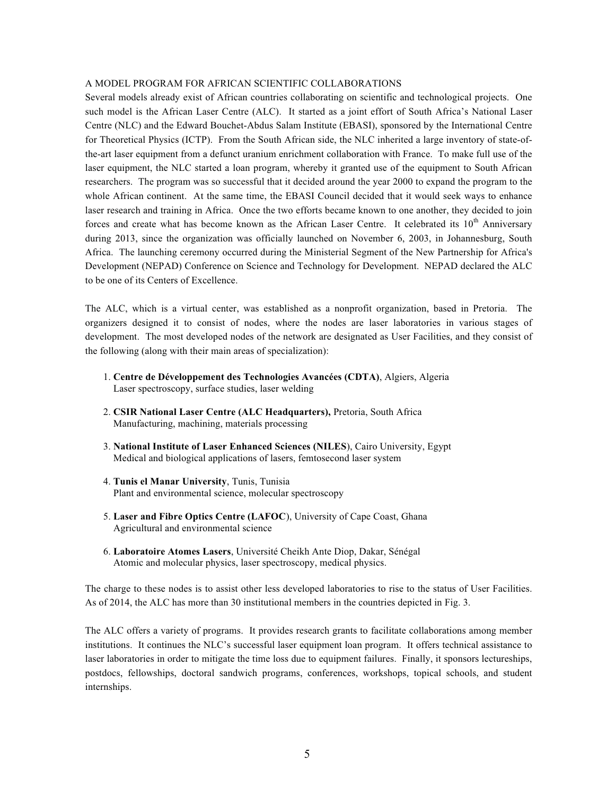#### A MODEL PROGRAM FOR AFRICAN SCIENTIFIC COLLABORATIONS

Several models already exist of African countries collaborating on scientific and technological projects. One such model is the African Laser Centre (ALC). It started as a joint effort of South Africa's National Laser Centre (NLC) and the Edward Bouchet-Abdus Salam Institute (EBASI), sponsored by the International Centre for Theoretical Physics (ICTP). From the South African side, the NLC inherited a large inventory of state-ofthe-art laser equipment from a defunct uranium enrichment collaboration with France. To make full use of the laser equipment, the NLC started a loan program, whereby it granted use of the equipment to South African researchers. The program was so successful that it decided around the year 2000 to expand the program to the whole African continent. At the same time, the EBASI Council decided that it would seek ways to enhance laser research and training in Africa. Once the two efforts became known to one another, they decided to join forces and create what has become known as the African Laser Centre. It celebrated its 10<sup>th</sup> Anniversary during 2013, since the organization was officially launched on November 6, 2003, in Johannesburg, South Africa. The launching ceremony occurred during the Ministerial Segment of the New Partnership for Africa's Development (NEPAD) Conference on Science and Technology for Development. NEPAD declared the ALC to be one of its Centers of Excellence.

The ALC, which is a virtual center, was established as a nonprofit organization, based in Pretoria. The organizers designed it to consist of nodes, where the nodes are laser laboratories in various stages of development. The most developed nodes of the network are designated as User Facilities, and they consist of the following (along with their main areas of specialization):

- 1. **Centre de Développement des Technologies Avancées (CDTA)**, Algiers, Algeria Laser spectroscopy, surface studies, laser welding
- 2. **CSIR National Laser Centre (ALC Headquarters),** Pretoria, South Africa Manufacturing, machining, materials processing
- 3. **National Institute of Laser Enhanced Sciences (NILES**), Cairo University, Egypt Medical and biological applications of lasers, femtosecond laser system
- 4. **Tunis el Manar University**, Tunis, Tunisia Plant and environmental science, molecular spectroscopy
- 5. **Laser and Fibre Optics Centre (LAFOC**), University of Cape Coast, Ghana Agricultural and environmental science
- 6. **Laboratoire Atomes Lasers**, Université Cheikh Ante Diop, Dakar, Sénégal Atomic and molecular physics, laser spectroscopy, medical physics.

The charge to these nodes is to assist other less developed laboratories to rise to the status of User Facilities. As of 2014, the ALC has more than 30 institutional members in the countries depicted in Fig. 3.

The ALC offers a variety of programs. It provides research grants to facilitate collaborations among member institutions. It continues the NLC's successful laser equipment loan program. It offers technical assistance to laser laboratories in order to mitigate the time loss due to equipment failures. Finally, it sponsors lectureships, postdocs, fellowships, doctoral sandwich programs, conferences, workshops, topical schools, and student internships.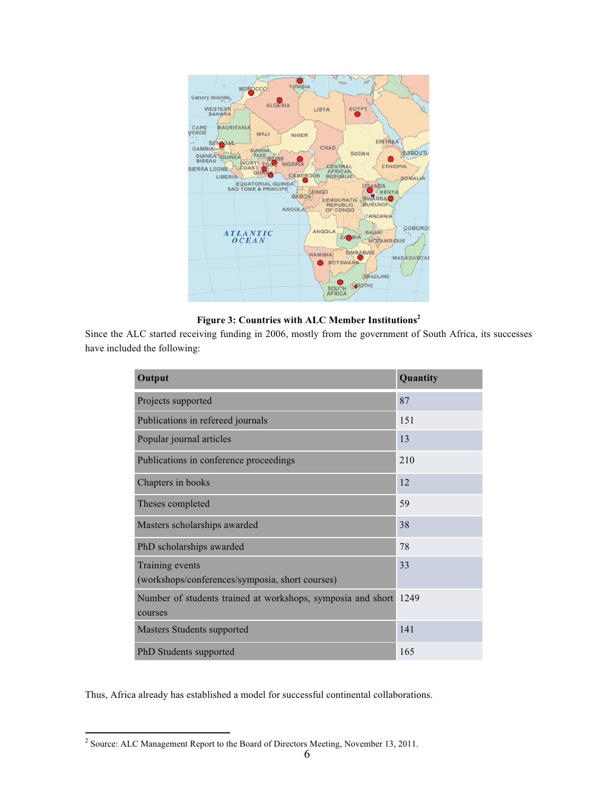

**Figure 3: Countries with ALC Member Institutions2**

Since the ALC started receiving funding in 2006, mostly from the government of South Africa, its successes have included the following:

| Output                                                                 | Quantity |
|------------------------------------------------------------------------|----------|
| Projects supported                                                     | 87       |
| Publications in refereed journals                                      | 151      |
| Popular journal articles                                               | 13       |
| Publications in conference proceedings                                 | 210      |
| Chapters in books                                                      | 12       |
| Theses completed                                                       | 59       |
| Masters scholarships awarded                                           | 38       |
| PhD scholarships awarded                                               | 78       |
| Training events<br>(workshops/conferences/symposia, short courses)     | 33       |
| Number of students trained at workshops, symposia and short<br>courses | 1249     |
| Masters Students supported                                             | 141      |
| PhD Students supported                                                 | 165      |

Thus, Africa already has established a model for successful continental collaborations.

<sup>&</sup>lt;sup>2</sup> Source: ALC Management Report to the Board of Directors Meeting, November 13, 2011.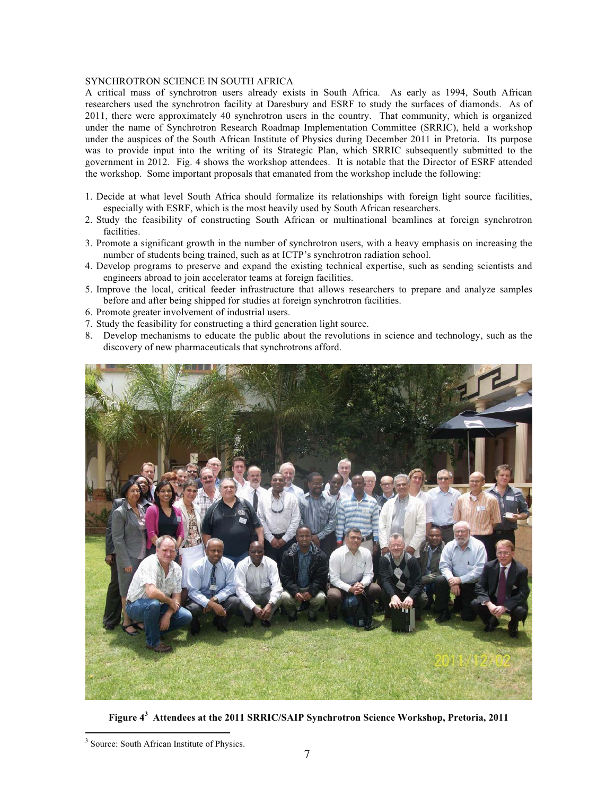#### SYNCHROTRON SCIENCE IN SOUTH AFRICA

A critical mass of synchrotron users already exists in South Africa. As early as 1994, South African researchers used the synchrotron facility at Daresbury and ESRF to study the surfaces of diamonds. As of 2011, there were approximately 40 synchrotron users in the country. That community, which is organized under the name of Synchrotron Research Roadmap Implementation Committee (SRRIC), held a workshop under the auspices of the South African Institute of Physics during December 2011 in Pretoria. Its purpose was to provide input into the writing of its Strategic Plan, which SRRIC subsequently submitted to the government in 2012. Fig. 4 shows the workshop attendees. It is notable that the Director of ESRF attended the workshop. Some important proposals that emanated from the workshop include the following:

- 1. Decide at what level South Africa should formalize its relationships with foreign light source facilities, especially with ESRF, which is the most heavily used by South African researchers.
- 2. Study the feasibility of constructing South African or multinational beamlines at foreign synchrotron facilities.
- 3. Promote a significant growth in the number of synchrotron users, with a heavy emphasis on increasing the number of students being trained, such as at ICTP's synchrotron radiation school.
- 4. Develop programs to preserve and expand the existing technical expertise, such as sending scientists and engineers abroad to join accelerator teams at foreign facilities.
- 5. Improve the local, critical feeder infrastructure that allows researchers to prepare and analyze samples before and after being shipped for studies at foreign synchrotron facilities.
- 6. Promote greater involvement of industrial users.
- 7. Study the feasibility for constructing a third generation light source.
- 8. Develop mechanisms to educate the public about the revolutions in science and technology, such as the discovery of new pharmaceuticals that synchrotrons afford.



**Figure 4<sup>3</sup> Attendees at the 2011 SRRIC/SAIP Synchrotron Science Workshop, Pretoria, 2011** 

--------------------------

-----------------------------

<sup>-</sup>-----<sup>3</sup> Source: South African Institute of Physics.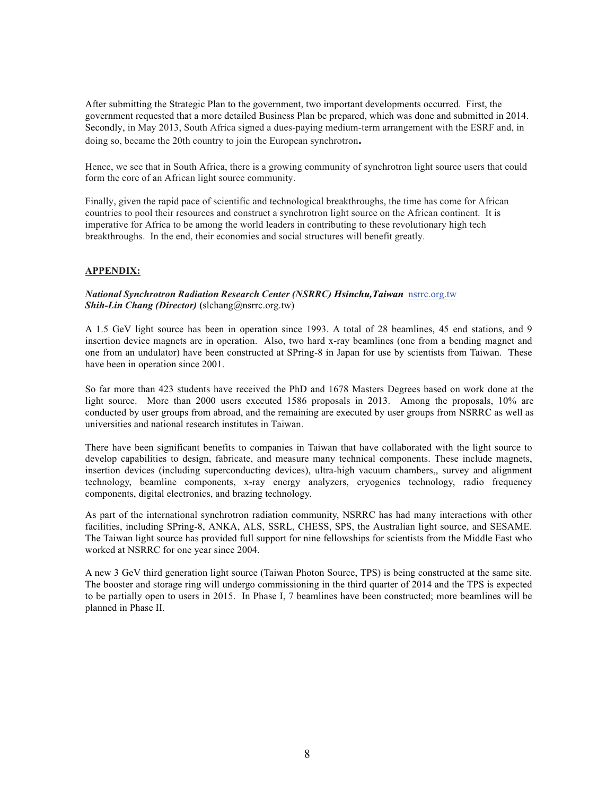After submitting the Strategic Plan to the government, two important developments occurred. First, the government requested that a more detailed Business Plan be prepared, which was done and submitted in 2014. Secondly, in May 2013, South Africa signed a dues-paying medium-term arrangement with the ESRF and, in doing so, became the 20th country to join the European synchrotron**.** 

Hence, we see that in South Africa, there is a growing community of synchrotron light source users that could form the core of an African light source community.

Finally, given the rapid pace of scientific and technological breakthroughs, the time has come for African countries to pool their resources and construct a synchrotron light source on the African continent. It is imperative for Africa to be among the world leaders in contributing to these revolutionary high tech breakthroughs. In the end, their economies and social structures will benefit greatly.

#### **APPENDIX:**

#### *National Synchrotron Radiation Research Center (NSRRC) Hsinchu,Taiwan* nsrrc.org.tw *Shih-Lin Chang (Director)* **(**slchang@nsrrc.org.tw)

A 1.5 GeV light source has been in operation since 1993. A total of 28 beamlines, 45 end stations, and 9 insertion device magnets are in operation. Also, two hard x-ray beamlines (one from a bending magnet and one from an undulator) have been constructed at SPring-8 in Japan for use by scientists from Taiwan. These have been in operation since 2001.

So far more than 423 students have received the PhD and 1678 Masters Degrees based on work done at the light source. More than 2000 users executed 1586 proposals in 2013. Among the proposals, 10% are conducted by user groups from abroad, and the remaining are executed by user groups from NSRRC as well as universities and national research institutes in Taiwan.

There have been significant benefits to companies in Taiwan that have collaborated with the light source to develop capabilities to design, fabricate, and measure many technical components. These include magnets, insertion devices (including superconducting devices), ultra-high vacuum chambers,, survey and alignment technology, beamline components, x-ray energy analyzers, cryogenics technology, radio frequency components, digital electronics, and brazing technology.

As part of the international synchrotron radiation community, NSRRC has had many interactions with other facilities, including SPring-8, ANKA, ALS, SSRL, CHESS, SPS, the Australian light source, and SESAME. The Taiwan light source has provided full support for nine fellowships for scientists from the Middle East who worked at NSRRC for one year since 2004.

A new 3 GeV third generation light source (Taiwan Photon Source, TPS) is being constructed at the same site. The booster and storage ring will undergo commissioning in the third quarter of 2014 and the TPS is expected to be partially open to users in 2015. In Phase I, 7 beamlines have been constructed; more beamlines will be planned in Phase II.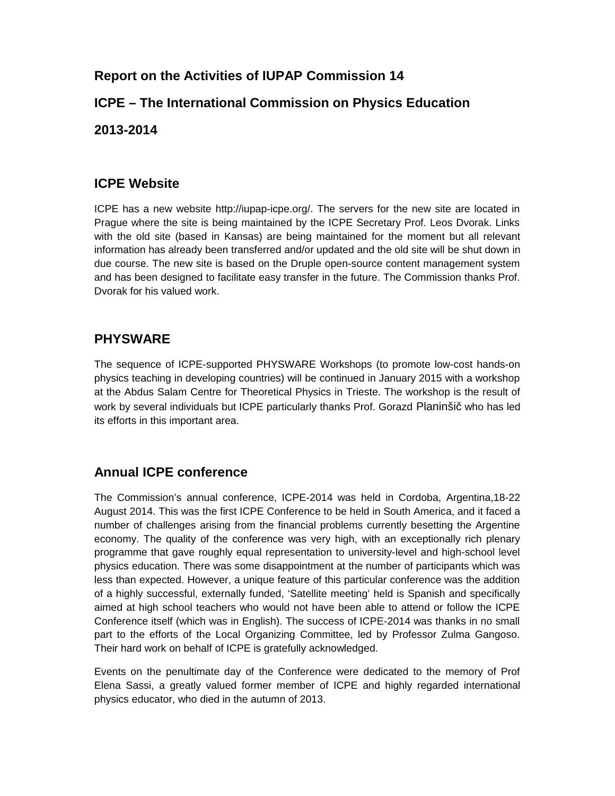## **Report on the Activities of IUPAP Commission 14**

## **ICPE - The International Commission on Physics Education**

2013-2014

## **ICPE Website**

ICPE has a new website http://iupap-icpe.org/. The servers for the new site are located in Praque where the site is being maintained by the ICPE Secretary Prof. Leos Dvorak. Links with the old site (based in Kansas) are being maintained for the moment but all relevant information has already been transferred and/or updated and the old site will be shut down in due course. The new site is based on the Druple open-source content management system and has been designed to facilitate easy transfer in the future. The Commission thanks Prof. Dvorak for his valued work.

## **PHYSWARE**

The sequence of ICPE-supported PHYSWARE Workshops (to promote low-cost hands-on physics teaching in developing countries) will be continued in January 2015 with a workshop at the Abdus Salam Centre for Theoretical Physics in Trieste. The workshop is the result of work by several individuals but ICPE particularly thanks Prof. Gorazd Planinšič who has led its efforts in this important area.

## **Annual ICPE conference**

The Commission's annual conference, ICPE-2014 was held in Cordoba, Argentina, 18-22 August 2014. This was the first ICPE Conference to be held in South America, and it faced a number of challenges arising from the financial problems currently besetting the Argentine economy. The quality of the conference was very high, with an exceptionally rich plenary programme that gave roughly equal representation to university-level and high-school level physics education. There was some disappointment at the number of participants which was less than expected. However, a unique feature of this particular conference was the addition of a highly successful, externally funded, 'Satellite meeting' held is Spanish and specifically aimed at high school teachers who would not have been able to attend or follow the ICPE Conference itself (which was in English). The success of ICPE-2014 was thanks in no small part to the efforts of the Local Organizing Committee, led by Professor Zulma Gangoso. Their hard work on behalf of ICPE is gratefully acknowledged.

Events on the penultimate day of the Conference were dedicated to the memory of Prof Elena Sassi, a greatly valued former member of ICPE and highly regarded international physics educator, who died in the autumn of 2013.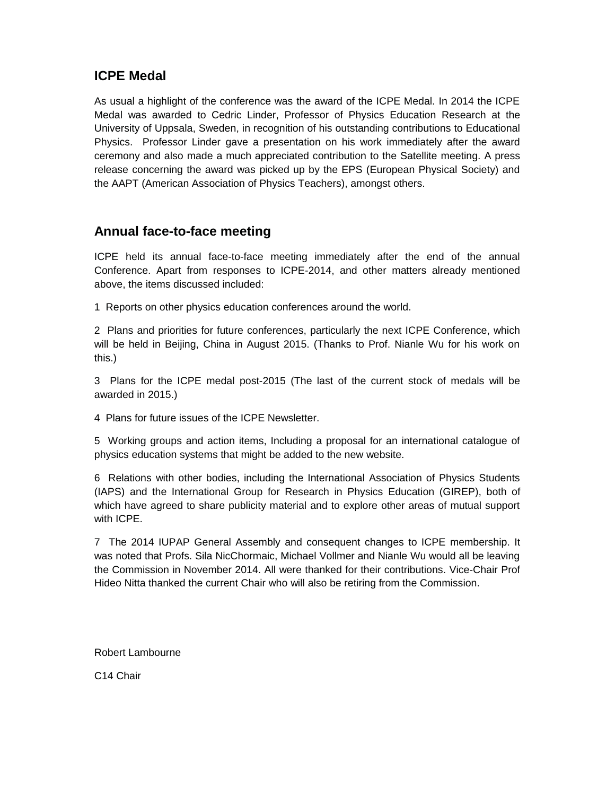### **ICPE Medal**

As usual a highlight of the conference was the award of the ICPE Medal. In 2014 the ICPE Medal was awarded to Cedric Linder, Professor of Physics Education Research at the University of Uppsala, Sweden, in recognition of his outstanding contributions to Educational Physics. Professor Linder gave a presentation on his work immediately after the award ceremony and also made a much appreciated contribution to the Satellite meeting. A press release concerning the award was picked up by the EPS (European Physical Society) and the AAPT (American Association of Physics Teachers), amongst others.

## **Annual face-to-face meeting**

ICPE held its annual face-to-face meeting immediately after the end of the annual Conference. Apart from responses to ICPE-2014, and other matters already mentioned above, the items discussed included:

1 Reports on other physics education conferences around the world.

2 Plans and priorities for future conferences, particularly the next ICPE Conference, which will be held in Beijing, China in August 2015. (Thanks to Prof. Nianle Wu for his work on this.)

3 Plans for the ICPE medal post-2015 (The last of the current stock of medals will be awarded in 2015.)

4 Plans for future issues of the ICPE Newsletter.

5 Working groups and action items, Including a proposal for an international catalogue of physics education systems that might be added to the new website.

6 Relations with other bodies, including the International Association of Physics Students (IAPS) and the International Group for Research in Physics Education (GIREP), both of which have agreed to share publicity material and to explore other areas of mutual support with ICPE.

7 The 2014 IUPAP General Assembly and consequent changes to ICPE membership. It was noted that Profs. Sila NicChormaic, Michael Vollmer and Nianle Wu would all be leaving the Commission in November 2014. All were thanked for their contributions. Vice-Chair Prof Hideo Nitta thanked the current Chair who will also be retiring from the Commission.

Robert Lambourne

C14 Chair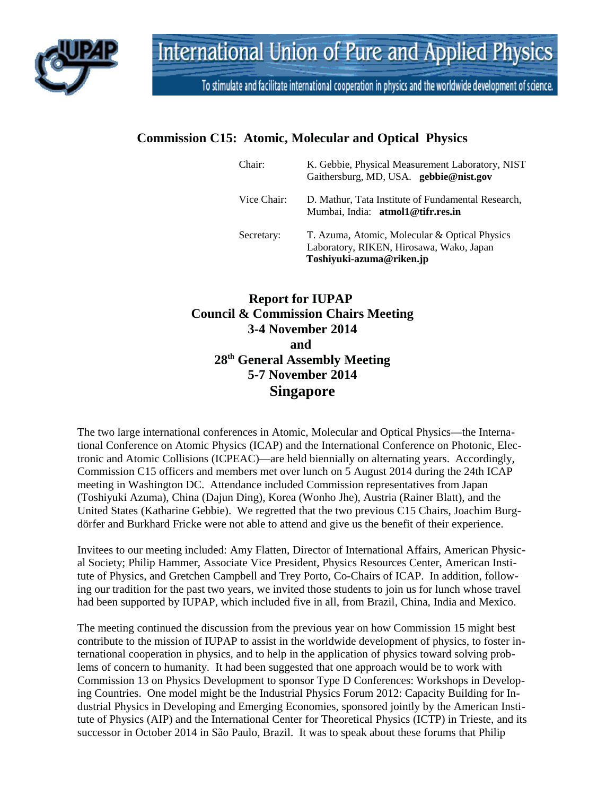

## International Union of Pure and Applied Physics

To stimulate and facilitate international cooperation in physics and the worldwide development of science.

### **Commission C15: Atomic, Molecular and Optical Physics**

| Chair:      | K. Gebbie, Physical Measurement Laboratory, NIST<br>Gaithersburg, MD, USA. gebbie@nist.gov                            |
|-------------|-----------------------------------------------------------------------------------------------------------------------|
| Vice Chair: | D. Mathur, Tata Institute of Fundamental Research,<br>Mumbai, India: atmol1@tifr.res.in                               |
| Secretary:  | T. Azuma, Atomic, Molecular & Optical Physics<br>Laboratory, RIKEN, Hirosawa, Wako, Japan<br>Toshiyuki-azuma@riken.jp |

## **Report for IUPAP Council & Commission Chairs Meeting 3-4 November 2014** and 28<sup>th</sup> General Assembly Meeting 5-7 November 2014 Singapore

The two large international conferences in Atomic, Molecular and Optical Physics—the International Conference on Atomic Physics (ICAP) and the International Conference on Photonic, Electronic and Atomic Collisions (ICPEAC)—are held biennially on alternating years. Accordingly, Commission C15 officers and members met over lunch on 5 August 2014 during the 24th ICAP meeting in Washington DC. Attendance included Commission representatives from Japan (Toshiyuki Azuma), China (Dajun Ding), Korea (Wonho Jhe), Austria (Rainer Blatt), and the United States (Katharine Gebbie). We regretted that the two previous C15 Chairs, Joachim Burgdörfer and Burkhard Fricke were not able to attend and give us the benefit of their experience.

Invitees to our meeting included: Amy Flatten, Director of International Affairs, American Physical Society; Philip Hammer, Associate Vice President, Physics Resources Center, American Institute of Physics, and Gretchen Campbell and Trey Porto, Co-Chairs of ICAP. In addition, following our tradition for the past two years, we invited those students to join us for lunch whose travel had been supported by IUPAP, which included five in all, from Brazil, China, India and Mexico.

The meeting continued the discussion from the previous year on how Commission 15 might best contribute to the mission of IUPAP to assist in the worldwide development of physics, to foster international cooperation in physics, and to help in the application of physics toward solving problems of concern to humanity. It had been suggested that one approach would be to work with Commission 13 on Physics Development to sponsor Type D Conferences: Workshops in Developing Countries. One model might be the Industrial Physics Forum 2012: Capacity Building for Industrial Physics in Developing and Emerging Economies, sponsored jointly by the American Institute of Physics (AIP) and the International Center for Theoretical Physics (ICTP) in Trieste, and its successor in October 2014 in São Paulo, Brazil. It was to speak about these forums that Philip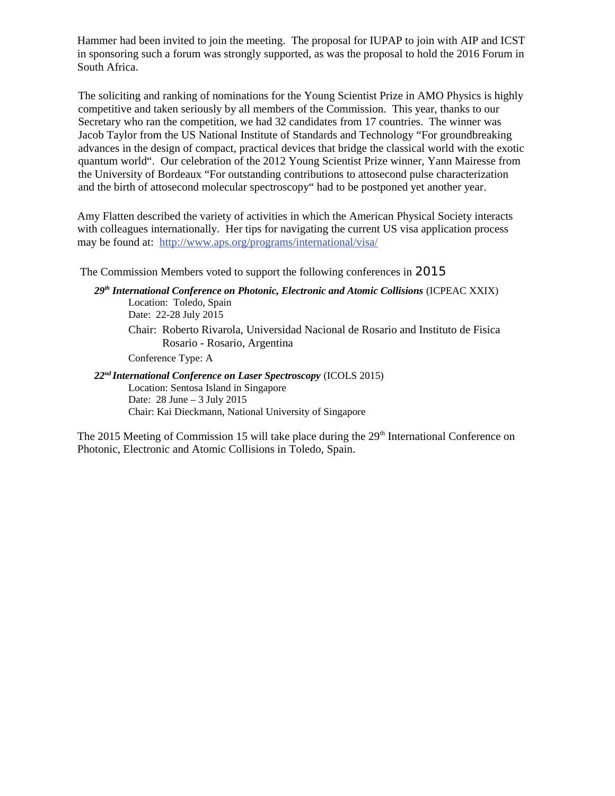Hammer had been invited to join the meeting. The proposal for IUPAP to join with AIP and ICST in sponsoring such a forum was strongly supported, as was the proposal to hold the 2016 Forum in South Africa.

The soliciting and ranking of nominations for the Young Scientist Prize in AMO Physics is highly competitive and taken seriously by all members of the Commission. This year, thanks to our Secretary who ran the competition, we had 32 candidates from 17 countries. The winner was Jacob Taylor from the US National Institute of Standards and Technology "For groundbreaking advances in the design of compact, practical devices that bridge the classical world with the exotic quantum world". Our celebration of the 2012 Young Scientist Prize winner, Yann Mairesse from the University of Bordeaux "For outstanding contributions to attosecond pulse characterization and the birth of attosecond molecular spectroscopy" had to be postponed yet another year.

Amy Flatten described the variety of activities in which the American Physical Society interacts with colleagues internationally. Her tips for navigating the current US visa application process may be found at: http://www.aps.org/programs/international/visa/

The Commission Members voted to support the following conferences in 2015

29th International Conference on Photonic, Electronic and Atomic Collisions (ICPEAC XXIX) Location: Toledo, Spain Date: 22-28 July 2015

Chair: Roberto Rivarola, Universidad Nacional de Rosario and Instituto de Fisica Rosario - Rosario, Argentina

Conference Type: A

22<sup>nd</sup> International Conference on Laser Spectroscopy (ICOLS 2015) Location: Sentosa Island in Singapore

Date: 28 June - 3 July 2015 Chair: Kai Dieckmann, National University of Singapore

The 2015 Meeting of Commission 15 will take place during the 29<sup>th</sup> International Conference on Photonic, Electronic and Atomic Collisions in Toledo, Spain.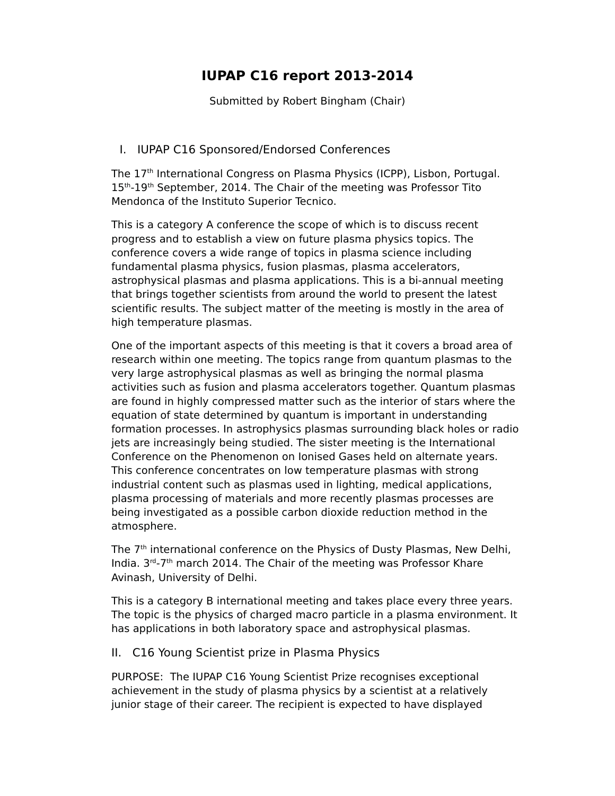## **IUPAP C16 report 2013-2014**

Submitted by Robert Bingham (Chair)

#### I. IUPAP C16 Sponsored/Endorsed Conferences

The 17<sup>th</sup> International Congress on Plasma Physics (ICPP), Lisbon, Portugal. 15<sup>th</sup>-19<sup>th</sup> September, 2014. The Chair of the meeting was Professor Tito Mendonca of the Instituto Superior Tecnico.

This is a category A conference the scope of which is to discuss recent progress and to establish a view on future plasma physics topics. The conference covers a wide range of topics in plasma science including fundamental plasma physics, fusion plasmas, plasma accelerators, astrophysical plasmas and plasma applications. This is a bi-annual meeting that brings together scientists from around the world to present the latest scientific results. The subject matter of the meeting is mostly in the area of high temperature plasmas.

One of the important aspects of this meeting is that it covers a broad area of research within one meeting. The topics range from quantum plasmas to the very large astrophysical plasmas as well as bringing the normal plasma activities such as fusion and plasma accelerators together. Quantum plasmas are found in highly compressed matter such as the interior of stars where the equation of state determined by quantum is important in understanding formation processes. In astrophysics plasmas surrounding black holes or radio jets are increasingly being studied. The sister meeting is the International Conference on the Phenomenon on Ionised Gases held on alternate years. This conference concentrates on low temperature plasmas with strong industrial content such as plasmas used in lighting, medical applications, plasma processing of materials and more recently plasmas processes are being investigated as a possible carbon dioxide reduction method in the atmosphere.

The 7<sup>th</sup> international conference on the Physics of Dusty Plasmas, New Delhi, India. 3<sup>rd</sup>-7<sup>th</sup> march 2014. The Chair of the meeting was Professor Khare Avinash, University of Delhi.

This is a category B international meeting and takes place every three years. The topic is the physics of charged macro particle in a plasma environment. It has applications in both laboratory space and astrophysical plasmas.

#### II. C16 Young Scientist prize in Plasma Physics

PURPOSE: The IUPAP C16 Young Scientist Prize recognises exceptional achievement in the study of plasma physics by a scientist at a relatively junior stage of their career. The recipient is expected to have displayed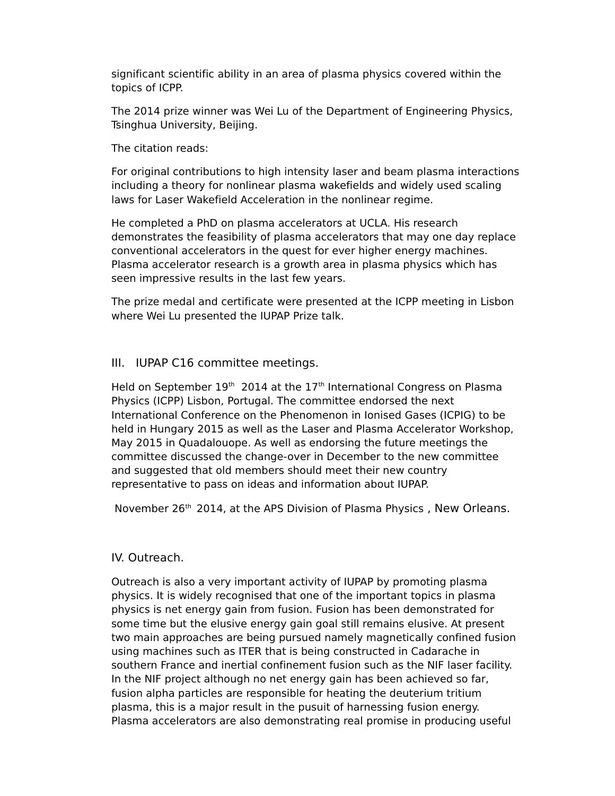significant scientific ability in an area of plasma physics covered within the topics of ICPP.

The 2014 prize winner was Wei Lu of the Department of Engineering Physics, Tsinghua University, Beijing.

The citation reads:

For original contributions to high intensity laser and beam plasma interactions including a theory for nonlinear plasma wakefields and widely used scaling laws for Laser Wakefield Acceleration in the nonlinear regime.

He completed a PhD on plasma accelerators at UCLA. His research demonstrates the feasibility of plasma accelerators that may one day replace conventional accelerators in the quest for ever higher energy machines. Plasma accelerator research is a growth area in plasma physics which has seen impressive results in the last few years.

The prize medal and certificate were presented at the ICPP meeting in Lisbon where Wei Lu presented the IUPAP Prize talk.

#### III. IUPAP C16 committee meetings.

Held on September 19<sup>th</sup> 2014 at the 17<sup>th</sup> International Congress on Plasma Physics (ICPP) Lisbon, Portugal. The committee endorsed the next International Conference on the Phenomenon in Ionised Gases (ICPIG) to be held in Hungary 2015 as well as the Laser and Plasma Accelerator Workshop, May 2015 in Quadalouope. As well as endorsing the future meetings the committee discussed the change-over in December to the new committee and suggested that old members should meet their new country representative to pass on ideas and information about IUPAP.

November 26th 2014, at the APS Division of Plasma Physics, New Orleans.

#### IV. Outreach.

Outreach is also a very important activity of IUPAP by promoting plasma physics. It is widely recognised that one of the important topics in plasma physics is net energy gain from fusion. Fusion has been demonstrated for some time but the elusive energy gain goal still remains elusive. At present two main approaches are being pursued namely magnetically confined fusion using machines such as ITER that is being constructed in Cadarache in southern France and inertial confinement fusion such as the NIF laser facility. In the NIF project although no net energy gain has been achieved so far, fusion alpha particles are responsible for heating the deuterium tritium plasma, this is a major result in the pusuit of harnessing fusion energy. Plasma accelerators are also demonstrating real promise in producing useful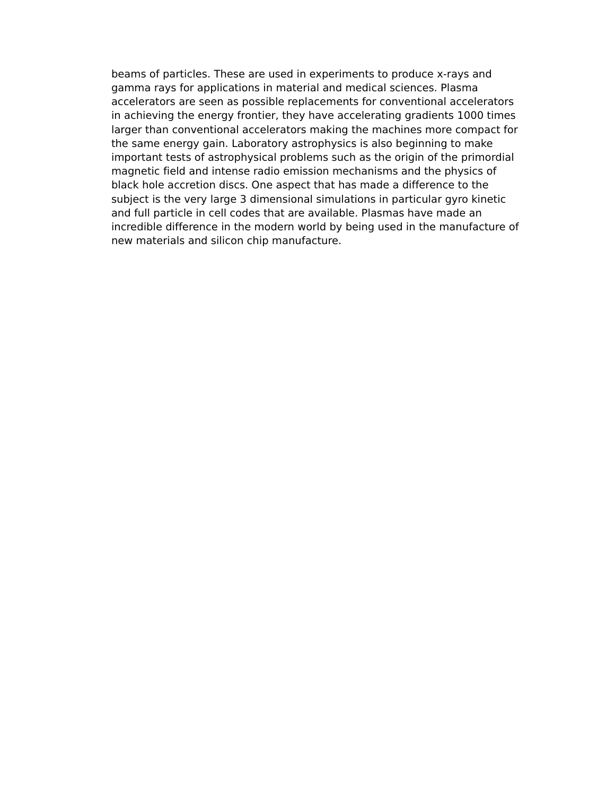beams of particles. These are used in experiments to produce x-rays and gamma rays for applications in material and medical sciences. Plasma accelerators are seen as possible replacements for conventional accelerators in achieving the energy frontier, they have accelerating gradients 1000 times larger than conventional accelerators making the machines more compact for the same energy gain. Laboratory astrophysics is also beginning to make important tests of astrophysical problems such as the origin of the primordial magnetic field and intense radio emission mechanisms and the physics of black hole accretion discs. One aspect that has made a difference to the subject is the very large 3 dimensional simulations in particular gyro kinetic and full particle in cell codes that are available. Plasmas have made an incredible difference in the modern world by being used in the manufacture of new materials and silicon chip manufacture.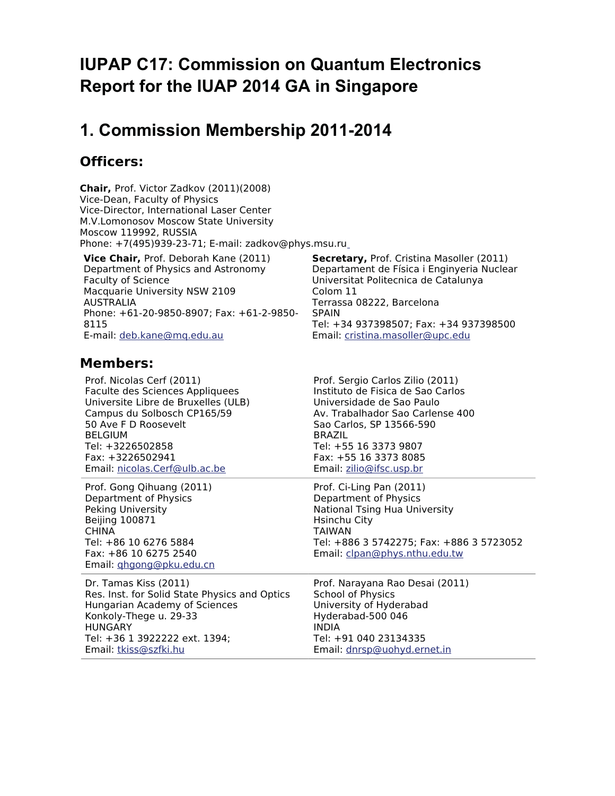## **IUPAP C17: Commission on Quantum Electronics Report for the IUAP 2014 GA in Singapore**

## 1. Commission Membership 2011-2014

## **Officers:**

Chair, Prof. Victor Zadkov (2011)(2008) Vice-Dean, Faculty of Physics Vice-Director, International Laser Center M.V.Lomonosov Moscow State University Moscow 119992, RUSSIA Phone: +7(495)939-23-71; E-mail: zadkov@phys.msu.ru\_

Vice Chair, Prof. Deborah Kane (2011) Secretary, Prof. Cristina Masoller (2011) Department of Physics and Astronomy Departament de Física i Enginyeria Nuclear **Faculty of Science** Universitat Politecnica de Catalunya Macquarie University NSW 2109 Colom 11 **AUSTRALIA** Terrassa 08222, Barcelona Phone: +61-20-9850-8907; Fax: +61-2-9850-**SPAIN** 8115 Tel: +34 937398507; Fax: +34 937398500 E-mail: deb.kane@mg.edu.au Email: cristina.masoller@upc.edu

## **Members:**

Prof. Nicolas Cerf (2011) Faculte des Sciences Appliquees Universite Libre de Bruxelles (ULB) Campus du Solbosch CP165/59 50 Ave F D Roosevelt **BELGIUM** Tel: +3226502858 Fax: +3226502941 Email: nicolas.Cerf@ulb.ac.be

Prof. Gong Qihuang (2011) Department of Physics Peking University **Beijing 100871 CHINA** Tel: +86 10 6276 5884 Fax: +86 10 6275 2540 Email: ghgong@pku.edu.cn

Dr. Tamas Kiss (2011) Res. Inst. for Solid State Physics and Optics Hungarian Academy of Sciences Konkoly-Thege u. 29-33 **HUNGARY** Tel: +36 1 3922222 ext. 1394; Email: tkiss@szfki.hu

Prof. Sergio Carlos Zilio (2011) Instituto de Fisica de Sao Carlos Universidade de Sao Paulo Av. Trabalhador Sao Carlense 400 Sao Carlos, SP 13566-590 **BRAZIL** Tel: +55 16 3373 9807 Fax: +55 16 3373 8085 Email: zilio@ifsc.usp.br

Prof. Ci-Ling Pan (2011) Department of Physics National Tsing Hua University Hsinchu City **TAIWAN** Tel: +886 3 5742275; Fax: +886 3 5723052 Email: clpan@phys.nthu.edu.tw

Prof. Narayana Rao Desai (2011) **School of Physics** University of Hyderabad Hyderabad-500 046 **INDIA** Tel: +91 040 23134335 Email: dnrsp@uohyd.ernet.in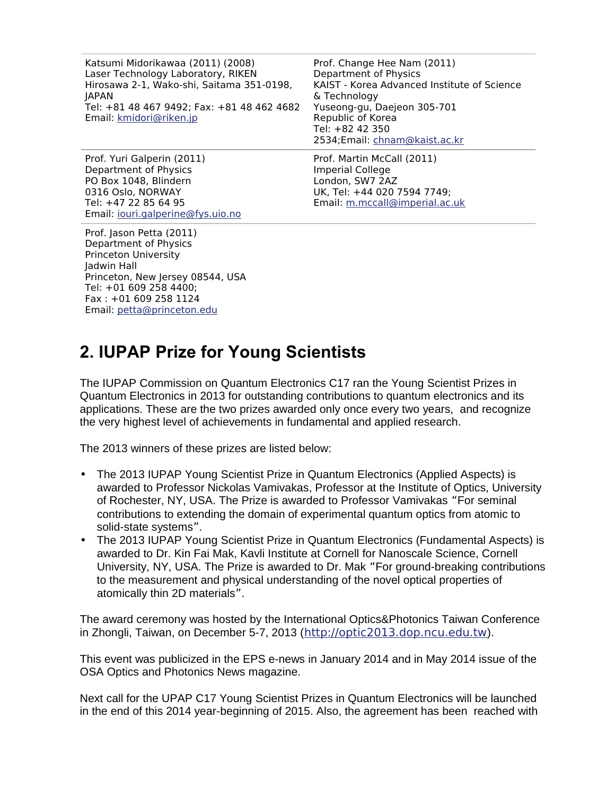| Katsumi Midorikawaa (2011) (2008)<br>Laser Technology Laboratory, RIKEN<br>Hirosawa 2-1, Wako-shi, Saitama 351-0198,<br><b>JAPAN</b><br>Tel: +81 48 467 9492; Fax: +81 48 462 4682<br>Email: kmidori@riken.jp | Prof. Change Hee Nam (2011)<br>Department of Physics<br>KAIST - Korea Advanced Institute of Science<br>& Technology<br>Yuseong-gu, Daejeon 305-701<br>Republic of Korea<br>Tel: +82 42 350<br>2534; Email: chnam@kaist.ac.kr |
|---------------------------------------------------------------------------------------------------------------------------------------------------------------------------------------------------------------|------------------------------------------------------------------------------------------------------------------------------------------------------------------------------------------------------------------------------|
| Prof. Yuri Galperin (2011)<br>Department of Physics<br>PO Box 1048, Blindern<br>0316 Oslo, NORWAY<br>Tel: +47 22 85 64 95<br>Email: jouri.galperine@fys.uio.no                                                | Prof. Martin McCall (2011)<br><b>Imperial College</b><br>London, SW7 2AZ<br>UK, Tel: +44 020 7594 7749;<br>Email: m.mccall@imperial.ac.uk                                                                                    |

Prof. Jason Petta (2011) Department of Physics **Princeton University** Jadwin Hall Princeton, New Jersey 08544, USA Tel: +01 609 258 4400; Fax: +01 609 258 1124 Email: petta@princeton.edu

## 2. IUPAP Prize for Young Scientists

The IUPAP Commission on Ouantum Electronics C17 ran the Young Scientist Prizes in Quantum Electronics in 2013 for outstanding contributions to quantum electronics and its applications. These are the two prizes awarded only once every two years, and recognize the very highest level of achievements in fundamental and applied research.

The 2013 winners of these prizes are listed below:

- The 2013 IUPAP Young Scientist Prize in Ouantum Electronics (Applied Aspects) is awarded to Professor Nickolas Vamivakas, Professor at the Institute of Optics, University of Rochester, NY, USA. The Prize is awarded to Professor Vamivakas "For seminal contributions to extending the domain of experimental quantum optics from atomic to solid-state systems".
- The 2013 IUPAP Young Scientist Prize in Quantum Electronics (Fundamental Aspects) is awarded to Dr. Kin Fai Mak. Kayli Institute at Cornell for Nanoscale Science, Cornell University, NY, USA. The Prize is awarded to Dr. Mak "For ground-breaking contributions to the measurement and physical understanding of the novel optical properties of atomically thin 2D materials".

The award ceremony was hosted by the International Optics&Photonics Taiwan Conference in Zhongli, Taiwan, on December 5-7, 2013 (http://optic2013.dop.ncu.edu.tw).

This event was publicized in the EPS e-news in January 2014 and in May 2014 issue of the OSA Optics and Photonics News magazine.

Next call for the UPAP C17 Young Scientist Prizes in Quantum Electronics will be launched in the end of this 2014 year-beginning of 2015. Also, the agreement has been reached with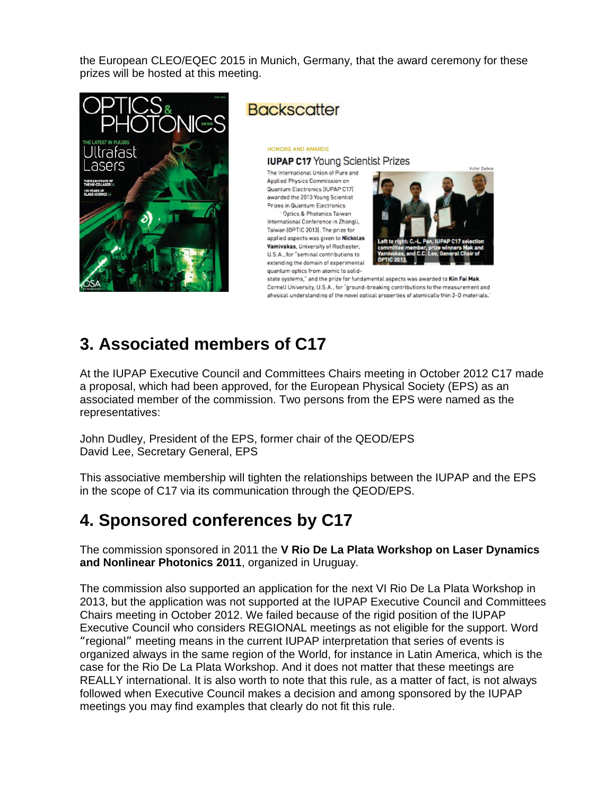the European CLEO/EQEC 2015 in Munich, Germany, that the award ceremony for these prizes will be hosted at this meeting.



**Backscatter** 

**HONORS AND AWARDS** 

**IUPAP C17 Young Scientist Prizes** 

The International Union of Pure and Applied Physics Commission on Quantum Electronics (IUPAP C17) awarded the 2013 Young Scientist Prizes in Quantum Electronics Optics & Photonics Taiwan International Conference in ZhongLi.

Taiwan (OPTIC 2013). The prize for applied aspects was given to Nickolas Vamivakas, University of Rochester, U.S.A., for "seminal contributions to extending the domain of experimental quantum optics from atomic to solid-



state systems," and the prize for fundamental aspects was awarded to Kin Fai Mak Cornell University, U.S.A., for "ground-breaking contributions to the measurement and physical understanding of the novel optical properties of atomically thin 2-D materials.

## 3. Associated members of C17

At the IUPAP Executive Council and Committees Chairs meeting in October 2012 C17 made a proposal, which had been approved, for the European Physical Society (EPS) as an associated member of the commission. Two persons from the EPS were named as the representatives:

John Dudley, President of the EPS, former chair of the QEOD/EPS David Lee, Secretary General, EPS

This associative membership will tighten the relationships between the IUPAP and the EPS in the scope of C17 via its communication through the QEOD/EPS.

## 4. Sponsored conferences by C17

The commission sponsored in 2011 the V Rio De La Plata Workshop on Laser Dynamics and Nonlinear Photonics 2011, organized in Uruguay.

The commission also supported an application for the next VI Rio De La Plata Workshop in 2013, but the application was not supported at the IUPAP Executive Council and Committees Chairs meeting in October 2012. We failed because of the rigid position of the IUPAP Executive Council who considers REGIONAL meetings as not eligible for the support. Word "regional" meeting means in the current IUPAP interpretation that series of events is organized always in the same region of the World, for instance in Latin America, which is the case for the Rio De La Plata Workshop. And it does not matter that these meetings are REALLY international. It is also worth to note that this rule, as a matter of fact, is not always followed when Executive Council makes a decision and among sponsored by the IUPAP meetings you may find examples that clearly do not fit this rule.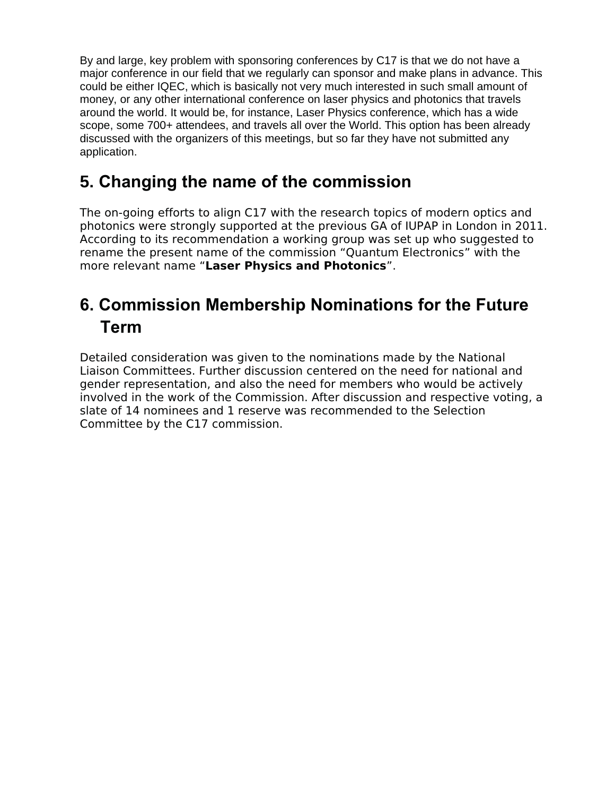By and large, key problem with sponsoring conferences by C17 is that we do not have a major conference in our field that we regularly can sponsor and make plans in advance. This could be either IQEC, which is basically not very much interested in such small amount of money, or any other international conference on laser physics and photonics that travels around the world. It would be, for instance, Laser Physics conference, which has a wide scope, some 700+ attendees, and travels all over the World. This option has been already discussed with the organizers of this meetings, but so far they have not submitted any application.

## 5. Changing the name of the commission

The on-going efforts to align C17 with the research topics of modern optics and photonics were strongly supported at the previous GA of IUPAP in London in 2011. According to its recommendation a working group was set up who suggested to rename the present name of the commission "Quantum Electronics" with the more relevant name "Laser Physics and Photonics".

## 6. Commission Membership Nominations for the Future **Term**

Detailed consideration was given to the nominations made by the National Liaison Committees. Further discussion centered on the need for national and gender representation, and also the need for members who would be actively involved in the work of the Commission. After discussion and respective voting, a slate of 14 nominees and 1 reserve was recommended to the Selection Committee by the C17 commission.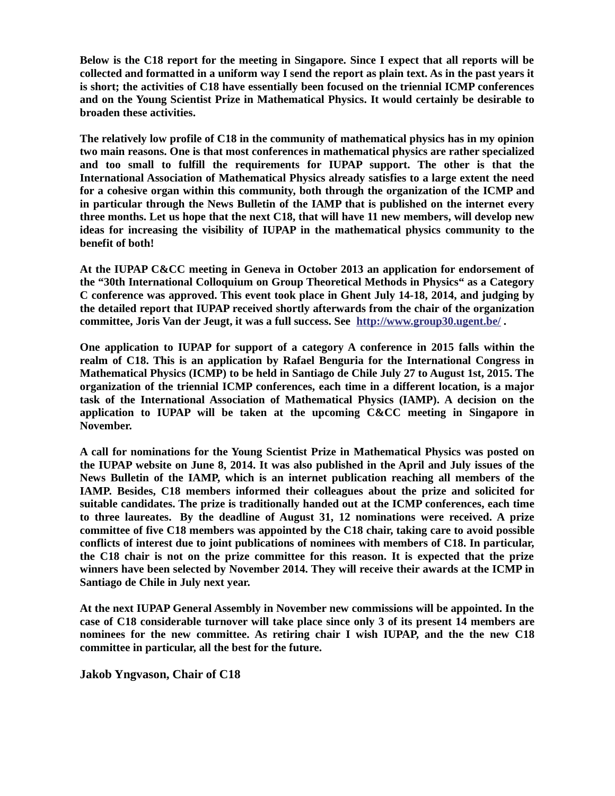Below is the C18 report for the meeting in Singapore. Since I expect that all reports will be collected and formatted in a uniform way I send the report as plain text. As in the past years it is short; the activities of C18 have essentially been focused on the triennial ICMP conferences and on the Young Scientist Prize in Mathematical Physics. It would certainly be desirable to broaden these activities.

The relatively low profile of C18 in the community of mathematical physics has in my opinion two main reasons. One is that most conferences in mathematical physics are rather specialized and too small to fulfill the requirements for IUPAP support. The other is that the International Association of Mathematical Physics already satisfies to a large extent the need for a cohesive organ within this community, both through the organization of the ICMP and in particular through the News Bulletin of the IAMP that is published on the internet every three months. Let us hope that the next C18, that will have 11 new members, will develop new ideas for increasing the visibility of IUPAP in the mathematical physics community to the benefit of both!

At the IUPAP C&CC meeting in Geneva in October 2013 an application for endorsement of the "30th International Colloquium on Group Theoretical Methods in Physics" as a Category C conference was approved. This event took place in Ghent July 14-18, 2014, and judging by the detailed report that IUPAP received shortly afterwards from the chair of the organization committee, Joris Van der Jeugt, it was a full success. See http://www.group30.ugent.be/.

One application to IUPAP for support of a category A conference in 2015 falls within the realm of C18. This is an application by Rafael Benguria for the International Congress in Mathematical Physics (ICMP) to be held in Santiago de Chile July 27 to August 1st, 2015. The organization of the triennial ICMP conferences, each time in a different location, is a major task of the International Association of Mathematical Physics (IAMP). A decision on the application to IUPAP will be taken at the upcoming C&CC meeting in Singapore in November.

A call for nominations for the Young Scientist Prize in Mathematical Physics was posted on the IUPAP website on June 8, 2014. It was also published in the April and July issues of the News Bulletin of the IAMP, which is an internet publication reaching all members of the IAMP. Besides, C18 members informed their colleagues about the prize and solicited for suitable candidates. The prize is traditionally handed out at the ICMP conferences, each time to three laureates. By the deadline of August 31, 12 nominations were received. A prize committee of five C18 members was appointed by the C18 chair, taking care to avoid possible conflicts of interest due to joint publications of nominees with members of C18. In particular, the C18 chair is not on the prize committee for this reason. It is expected that the prize winners have been selected by November 2014. They will receive their awards at the ICMP in Santiago de Chile in July next year.

At the next IUPAP General Assembly in November new commissions will be appointed. In the case of C18 considerable turnover will take place since only 3 of its present 14 members are nominees for the new committee. As retiring chair I wish IUPAP, and the the new C18 committee in particular, all the best for the future.

Jakob Yngvason, Chair of C18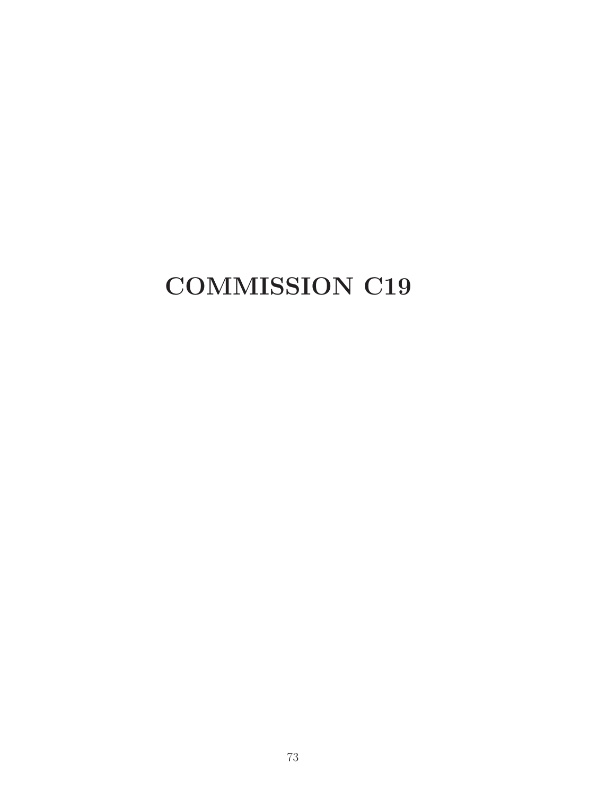# **COMMISSION C19**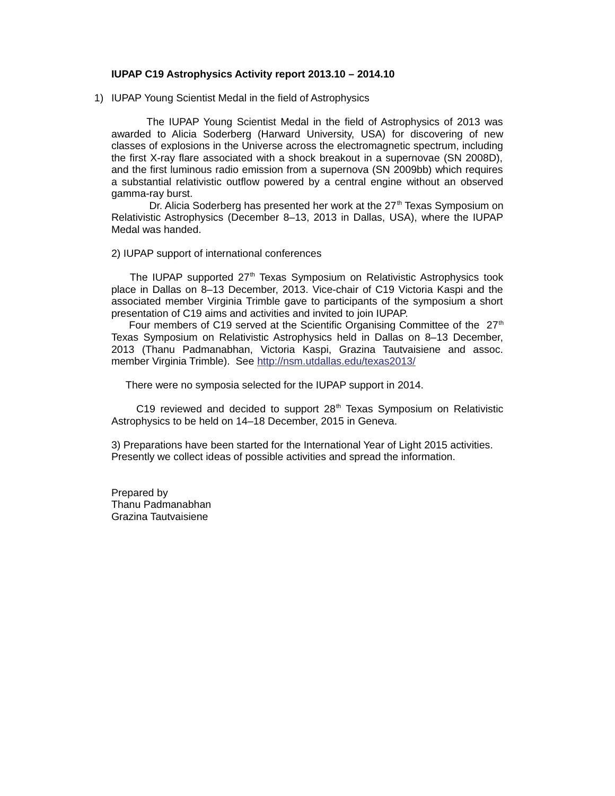### IUPAP C19 Astrophysics Activity report 2013.10 - 2014.10

#### 1) IUPAP Young Scientist Medal in the field of Astrophysics

The IUPAP Young Scientist Medal in the field of Astrophysics of 2013 was awarded to Alicia Soderberg (Harward University, USA) for discovering of new classes of explosions in the Universe across the electromagnetic spectrum, including the first X-ray flare associated with a shock breakout in a supernovae (SN 2008D). and the first luminous radio emission from a supernova (SN 2009bb) which requires a substantial relativistic outflow powered by a central engine without an observed gamma-ray burst.

Dr. Alicia Soderberg has presented her work at the  $27<sup>th</sup>$  Texas Symposium on Relativistic Astrophysics (December 8-13, 2013 in Dallas, USA), where the IUPAP Medal was handed

#### 2) IUPAP support of international conferences

The IUPAP supported 27<sup>th</sup> Texas Symposium on Relativistic Astrophysics took place in Dallas on 8-13 December, 2013. Vice-chair of C19 Victoria Kaspi and the associated member Virginia Trimble gave to participants of the symposium a short presentation of C19 aims and activities and invited to join IUPAP.

Four members of C19 served at the Scientific Organising Committee of the 27<sup>th</sup> Texas Symposium on Relativistic Astrophysics held in Dallas on 8-13 December, 2013 (Thanu Padmanabhan, Victoria Kaspi, Grazina Tautvaisiene and assoc. member Virginia Trimble). See http://nsm.utdallas.edu/texas2013/

There were no symposia selected for the IUPAP support in 2014.

C19 reviewed and decided to support 28<sup>th</sup> Texas Symposium on Relativistic Astrophysics to be held on 14-18 December, 2015 in Geneva.

3) Preparations have been started for the International Year of Light 2015 activities. Presently we collect ideas of possible activities and spread the information.

Prepared by Thanu Padmanabhan Grazina Tautvaisiene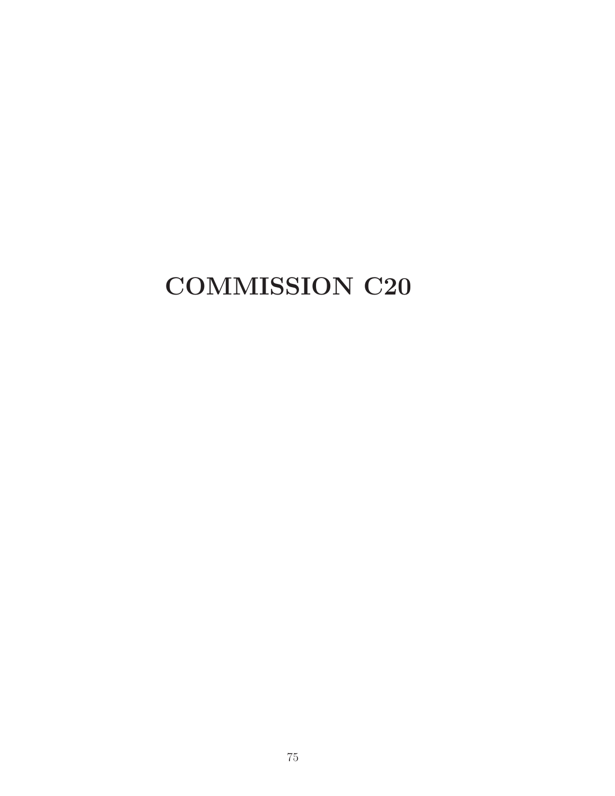# **COMMISSION C20**